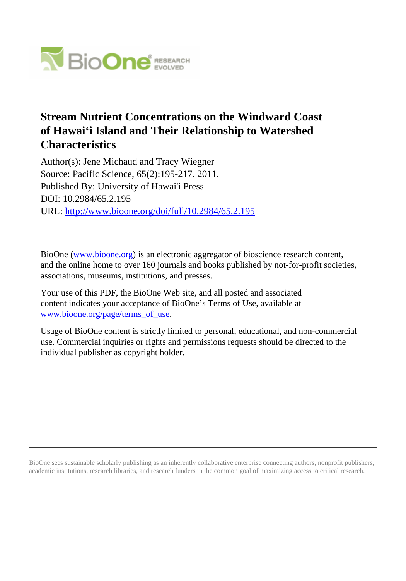

# **Stream Nutrient Concentrations on the Windward Coast of Hawai'i Island and Their Relationship to Watershed Characteristics**

Author(s): Jene Michaud and Tracy Wiegner Source: Pacific Science, 65(2):195-217. 2011. Published By: University of Hawai'i Press DOI: 10.2984/65.2.195 URL: <http://www.bioone.org/doi/full/10.2984/65.2.195>

BioOne [\(www.bioone.org\)](http://www.bioone.org) is an electronic aggregator of bioscience research content, and the online home to over 160 journals and books published by not-for-profit societies, associations, museums, institutions, and presses.

Your use of this PDF, the BioOne Web site, and all posted and associated content indicates your acceptance of BioOne's Terms of Use, available at [www.bioone.org/page/terms\\_of\\_use](http://www.bioone.org/page/terms_of_use).

Usage of BioOne content is strictly limited to personal, educational, and non-commercial use. Commercial inquiries or rights and permissions requests should be directed to the individual publisher as copyright holder.

BioOne sees sustainable scholarly publishing as an inherently collaborative enterprise connecting authors, nonprofit publishers, academic institutions, research libraries, and research funders in the common goal of maximizing access to critical research.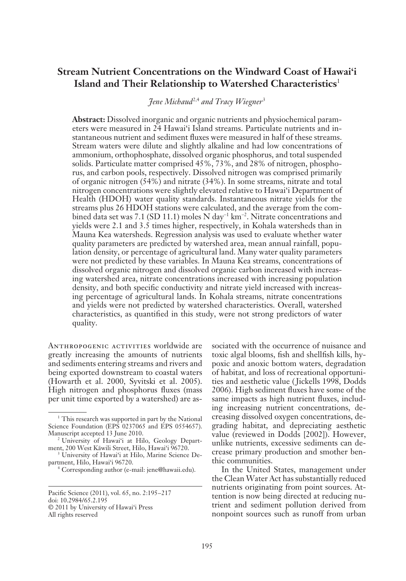## **Stream Nutrient Concentrations on the Windward Coast of Hawai'i Island and Their Relationship to Watershed Characteristics**<sup>1</sup>

*Jene Michaud*<sup>2,4</sup> and Tracy Wiegner<sup>3</sup>

**Abstract:** Dissolved inorganic and organic nutrients and physiochemical parameters were measured in 24 Hawai'i Island streams. Particulate nutrients and instantaneous nutrient and sediment fluxes were measured in half of these streams. Stream waters were dilute and slightly alkaline and had low concentrations of ammonium, orthophosphate, dissolved organic phosphorus, and total suspended solids. Particulate matter comprised 45%, 73%, and 28% of nitrogen, phosphorus, and carbon pools, respectively. Dissolved nitrogen was comprised primarily of organic nitrogen (54%) and nitrate (34%). In some streams, nitrate and total nitrogen concentrations were slightly elevated relative to Hawai'i Department of Health (HDOH) water quality standards. Instantaneous nitrate yields for the streams plus 26 HDOH stations were calculated, and the average from the combined data set was 7.1 (SD 11.1) moles N day<sup>-1</sup> km<sup>-2</sup>. Nitrate concentrations and yields were 2.1 and 3.5 times higher, respectively, in Kohala watersheds than in Mauna Kea watersheds. Regression analysis was used to evaluate whether water quality parameters are predicted by watershed area, mean annual rainfall, population density, or percentage of agricultural land. Many water quality parameters were not predicted by these variables. In Mauna Kea streams, concentrations of dissolved organic nitrogen and dissolved organic carbon increased with increasing watershed area, nitrate concentrations increased with increasing population density, and both specific conductivity and nitrate yield increased with increasing percentage of agricultural lands. In Kohala streams, nitrate concentrations and yields were not predicted by watershed characteristics. Overall, watershed characteristics, as quantified in this study, were not strong predictors of water quality.

ANTHROPOGENIC ACTIVITIES worldwide are greatly increasing the amounts of nutrients and sediments entering streams and rivers and being exported downstream to coastal waters (Howarth et al. 2000, Syvitski et al. 2005). High nitrogen and phosphorus fluxes (mass per unit time exported by a watershed) are as-

4 Corresponding author (e-mail: jene@hawaii.edu).

sociated with the occurrence of nuisance and toxic algal blooms, fish and shellfish kills, hypoxic and anoxic bottom waters, degradation of habitat, and loss of recreational opportunities and aesthetic value ( Jickells 1998, Dodds 2006). High sediment fluxes have some of the same impacts as high nutrient fluxes, including increasing nutrient concentrations, decreasing dissolved oxygen concentrations, degrading habitat, and depreciating aesthetic value (reviewed in Dodds [2002]). However, unlike nutrients, excessive sediments can decrease primary production and smother benthic communities.

In the United States, management under the Clean Water Act has substantially reduced nutrients originating from point sources. Attention is now being directed at reducing nutrient and sediment pollution derived from nonpoint sources such as runoff from urban

<sup>&</sup>lt;sup>1</sup> This research was supported in part by the National Science Foundation (EPS 0237065 and EPS 0554657). Manuscript accepted 13 June 2010.

<sup>&</sup>lt;sup>2</sup> University of Hawai'i at Hilo, Geology Department, 200 West Käwili Street, Hilo, Hawai'i 96720.

<sup>3</sup> University of Hawai'i at Hilo, Marine Science Department, Hilo, Hawai'i 96720.

Pacific Science (2011), vol. 65, no. 2:195-217 doi: 10.2984/65.2.195 © 2011 by University of Hawai'i Press All rights reserved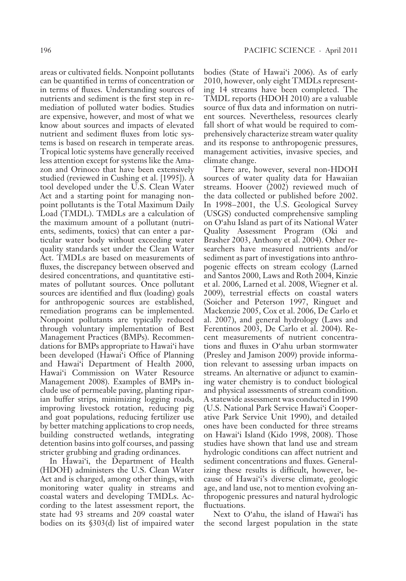areas or cultivated fields. Nonpoint pollutants can be quantified in terms of concentration or in terms of fluxes. Understanding sources of nutrients and sediment is the first step in remediation of polluted water bodies. Studies are expensive, however, and most of what we know about sources and impacts of elevated nutrient and sediment fluxes from lotic systems is based on research in temperate areas. Tropical lotic systems have generally received less attention except for systems like the Amazon and Orinoco that have been extensively studied (reviewed in Cushing et al. [1995]). A tool developed under the U.S. Clean Water Act and a starting point for managing nonpoint pollutants is the Total Maximum Daily Load (TMDL). TMDLs are a calculation of the maximum amount of a pollutant (nutrients, sediments, toxics) that can enter a particular water body without exceeding water quality standards set under the Clean Water Act. TMDLs are based on measurements of fluxes, the discrepancy between observed and desired concentrations, and quantitative estimates of pollutant sources. Once pollutant sources are identified and flux (loading) goals for anthropogenic sources are established, remediation programs can be implemented. Nonpoint pollutants are typically reduced through voluntary implementation of Best Management Practices (BMPs). Recommendations for BMPs appropriate to Hawai'i have been developed (Hawai'i Office of Planning and Hawai'i Department of Health 2000, Hawai'i Commission on Water Resource Management 2008). Examples of BMPs include use of permeable paving, planting riparian buffer strips, minimizing logging roads, improving livestock rotation, reducing pig and goat populations, reducing fertilizer use by better matching applications to crop needs, building constructed wetlands, integrating detention basins into golf courses, and passing stricter grubbing and grading ordinances.

In Hawai'i, the Department of Health (HDOH) administers the U.S. Clean Water Act and is charged, among other things, with monitoring water quality in streams and coastal waters and developing TMDLs. According to the latest assessment report, the state had 93 streams and 209 coastal water bodies on its §303(d) list of impaired water

bodies (State of Hawai'i 2006). As of early 2010, however, only eight TMDLs representing 14 streams have been completed. The TMDL reports (HDOH 2010) are a valuable source of flux data and information on nutrient sources. Nevertheless, resources clearly fall short of what would be required to comprehensively characterize stream water quality and its response to anthropogenic pressures, management activities, invasive species, and climate change.

There are, however, several non-HDOH sources of water quality data for Hawaiian streams. Hoover (2002) reviewed much of the data collected or published before 2002. In 1998–2001, the U.S. Geological Survey (USGS) conducted comprehensive sampling on O'ahu Island as part of its National Water Quality Assessment Program (Oki and Brasher 2003, Anthony et al. 2004). Other researchers have measured nutrients and/or sediment as part of investigations into anthropogenic effects on stream ecology (Larned and Santos 2000, Laws and Roth 2004, Kinzie et al. 2006, Larned et al. 2008, Wiegner et al. 2009), terrestrial effects on coastal waters (Soicher and Peterson 1997, Ringuet and Mackenzie 2005, Cox et al. 2006, De Carlo et al. 2007), and general hydrology (Laws and Ferentinos 2003, De Carlo et al. 2004). Recent measurements of nutrient concentrations and fluxes in O'ahu urban stormwater (Presley and Jamison 2009) provide information relevant to assessing urban impacts on streams. An alternative or adjunct to examining water chemistry is to conduct biological and physical assessments of stream condition. A statewide assessment was conducted in 1990 (U.S. National Park Service Hawai'i Cooperative Park Service Unit 1990), and detailed ones have been conducted for three streams on Hawai'i Island (Kido 1998, 2008). Those studies have shown that land use and stream hydrologic conditions can affect nutrient and sediment concentrations and fluxes. Generalizing these results is difficult, however, because of Hawai'i's diverse climate, geologic age, and land use, not to mention evolving anthropogenic pressures and natural hydrologic fluctuations.

Next to O'ahu, the island of Hawai'i has the second largest population in the state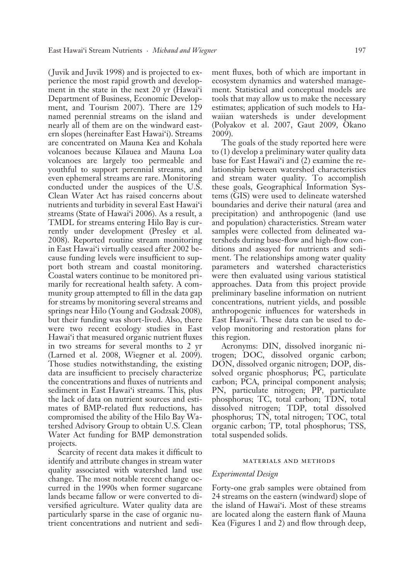( Juvik and Juvik 1998) and is projected to experience the most rapid growth and development in the state in the next 20 yr (Hawai'i Department of Business, Economic Development, and Tourism 2007). There are 129 named perennial streams on the island and nearly all of them are on the windward eastern slopes (hereinafter East Hawai'i). Streams are concentrated on Mauna Kea and Kohala volcanoes because Kïlauea and Mauna Loa volcanoes are largely too permeable and youthful to support perennial streams, and even ephemeral streams are rare. Monitoring conducted under the auspices of the U.S. Clean Water Act has raised concerns about nutrients and turbidity in several East Hawai'i streams (State of Hawai'i 2006). As a result, a TMDL for streams entering Hilo Bay is currently under development (Presley et al. 2008). Reported routine stream monitoring in East Hawai'i virtually ceased after 2002 because funding levels were insufficient to support both stream and coastal monitoring. Coastal waters continue to be monitored primarily for recreational health safety. A community group attempted to fill in the data gap for streams by monitoring several streams and springs near Hilo (Young and Godzsak 2008), but their funding was short-lived. Also, there were two recent ecology studies in East Hawai'i that measured organic nutrient fluxes in two streams for several months to 2 yr (Larned et al. 2008, Wiegner et al. 2009). Those studies notwithstanding, the existing data are insufficient to precisely characterize the concentrations and fluxes of nutrients and sediment in East Hawai'i streams. This, plus the lack of data on nutrient sources and estimates of BMP-related flux reductions, has compromised the ability of the Hilo Bay Watershed Advisory Group to obtain U.S. Clean Water Act funding for BMP demonstration projects.

Scarcity of recent data makes it difficult to identify and attribute changes in stream water quality associated with watershed land use change. The most notable recent change occurred in the 1990s when former sugarcane lands became fallow or were converted to diversified agriculture. Water quality data are particularly sparse in the case of organic nutrient concentrations and nutrient and sediment fluxes, both of which are important in ecosystem dynamics and watershed management. Statistical and conceptual models are tools that may allow us to make the necessary estimates; application of such models to Hawaiian watersheds is under development (Polyakov et al. 2007, Gaut 2009, Okano 2009).

The goals of the study reported here were to (1) develop a preliminary water quality data base for East Hawai'i and (2) examine the relationship between watershed characteristics and stream water quality. To accomplish these goals, Geographical Information Systems (GIS) were used to delineate watershed boundaries and derive their natural (area and precipitation) and anthropogenic (land use and population) characteristics. Stream water samples were collected from delineated watersheds during base-flow and high-flow conditions and assayed for nutrients and sediment. The relationships among water quality parameters and watershed characteristics were then evaluated using various statistical approaches. Data from this project provide preliminary baseline information on nutrient concentrations, nutrient yields, and possible anthropogenic influences for watersheds in East Hawai'i. These data can be used to develop monitoring and restoration plans for this region.

Acronyms: DIN, dissolved inorganic nitrogen; DOC, dissolved organic carbon; DON, dissolved organic nitrogen; DOP, dissolved organic phosphorus; PC, particulate carbon; PCA, principal component analysis; PN, particulate nitrogen; PP, particulate phosphorus; TC, total carbon; TDN, total dissolved nitrogen; TDP, total dissolved phosphorus; TN, total nitrogen; TOC, total organic carbon; TP, total phosphorus; TSS, total suspended solids.

#### materials and methods

#### *Experimental Design*

Forty-one grab samples were obtained from 24 streams on the eastern (windward) slope of the island of Hawai'i. Most of these streams are located along the eastern flank of Mauna Kea (Figures 1 and 2) and flow through deep,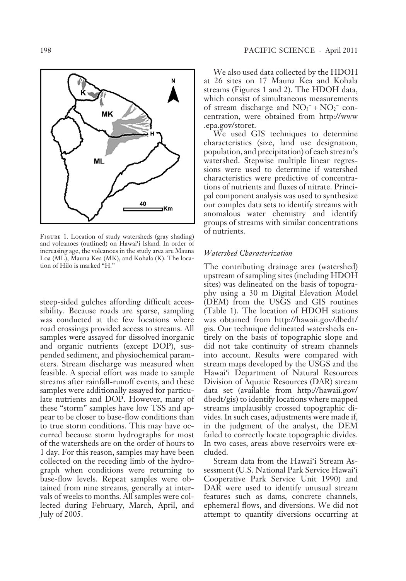

Figure 1. Location of study watersheds (gray shading) and volcanoes (outlined) on Hawai'i Island. In order of increasing age, the volcanoes in the study area are Mauna Loa (ML), Mauna Kea (MK), and Kohala (K). The location of Hilo is marked "H."

steep-sided gulches affording difficult accessibility. Because roads are sparse, sampling was conducted at the few locations where road crossings provided access to streams. All samples were assayed for dissolved inorganic and organic nutrients (except DOP), suspended sediment, and physiochemical parameters. Stream discharge was measured when feasible. A special effort was made to sample streams after rainfall-runoff events, and these samples were additionally assayed for particulate nutrients and DOP. However, many of these "storm" samples have low TSS and appear to be closer to base-flow conditions than to true storm conditions. This may have occurred because storm hydrographs for most of the watersheds are on the order of hours to 1 day. For this reason, samples may have been collected on the receding limb of the hydrograph when conditions were returning to base-flow levels. Repeat samples were obtained from nine streams, generally at intervals of weeks to months. All samples were collected during February, March, April, and July of 2005.

We also used data collected by the HDOH at 26 sites on 17 Mauna Kea and Kohala streams (Figures 1 and 2). The HDOH data, which consist of simultaneous measurements of stream discharge and  $NO_3^- + NO_2^-$  concentration, were obtained from http://www .epa.gov/storet.

We used GIS techniques to determine characteristics (size, land use designation, population, and precipitation) of each stream's watershed. Stepwise multiple linear regressions were used to determine if watershed characteristics were predictive of concentrations of nutrients and fluxes of nitrate. Principal component analysis was used to synthesize our complex data sets to identify streams with anomalous water chemistry and identify groups of streams with similar concentrations of nutrients.

#### *Watershed Characterization*

The contributing drainage area (watershed) upstream of sampling sites (including HDOH sites) was delineated on the basis of topography using a 30 m Digital Elevation Model (DEM) from the USGS and GIS routines (Table 1). The location of HDOH stations was obtained from http://hawaii.gov/dbedt/ gis. Our technique delineated watersheds entirely on the basis of topographic slope and did not take continuity of stream channels into account. Results were compared with stream maps developed by the USGS and the Hawai'i Department of Natural Resources Division of Aquatic Resources (DAR) stream data set (available from http://hawaii.gov/ dbedt /gis) to identify locations where mapped streams implausibly crossed topographic divides. In such cases, adjustments were made if, in the judgment of the analyst, the DEM failed to correctly locate topographic divides. In two cases, areas above reservoirs were excluded.

Stream data from the Hawai'i Stream Assessment (U.S. National Park Service Hawai'i Cooperative Park Service Unit 1990) and DAR were used to identify unusual stream features such as dams, concrete channels, ephemeral flows, and diversions. We did not attempt to quantify diversions occurring at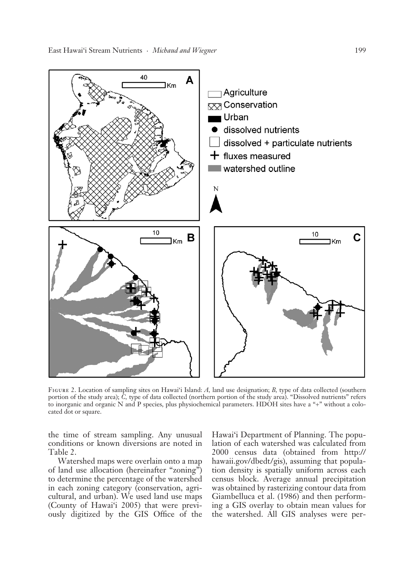

FIGURE 2. Location of sampling sites on Hawai'i Island: A, land use designation; B, type of data collected (southern portion of the study area); *C,* type of data collected (northern portion of the study area). "Dissolved nutrients" refers to inorganic and organic N and P species, plus physiochemical parameters. HDOH sites have a "+" without a colocated dot or square.

the time of stream sampling. Any unusual conditions or known diversions are noted in Table 2.

Watershed maps were overlain onto a map of land use allocation (hereinafter "zoning") to determine the percentage of the watershed in each zoning category (conservation, agricultural, and urban). We used land use maps (County of Hawai'i 2005) that were previously digitized by the GIS Office of the

Hawai'i Department of Planning. The population of each watershed was calculated from 2000 census data (obtained from http:// hawaii.gov/dbedt /gis), assuming that population density is spatially uniform across each census block. Average annual precipitation was obtained by rasterizing contour data from Giambelluca et al. (1986) and then performing a GIS overlay to obtain mean values for the watershed. All GIS analyses were per-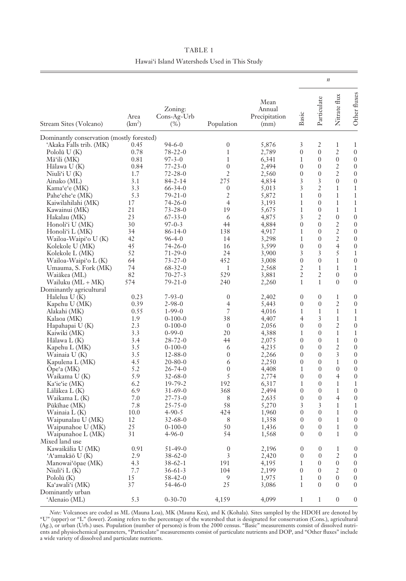|                                            |                            |                                     |                       |                                         |                                  | $\boldsymbol{n}$                     |                              |                                      |
|--------------------------------------------|----------------------------|-------------------------------------|-----------------------|-----------------------------------------|----------------------------------|--------------------------------------|------------------------------|--------------------------------------|
| Stream Sites (Volcano)                     | Area<br>(km <sup>2</sup> ) | Zoning:<br>$Cons-Ag-Urb$<br>$(\% )$ | Population            | Mean<br>Annual<br>Precipitation<br>(mm) | Basic                            | Particulate                          | Nitrate flux                 | Other fluxes                         |
| Dominantly conservation (mostly forested)  |                            |                                     |                       |                                         |                                  |                                      |                              |                                      |
| 'Akaka Falls trib. (MK)                    | 0.45                       | 94-6-0                              | $\boldsymbol{0}$      | 5,876                                   | 3                                | 2                                    | 1                            | 1                                    |
| Polol $\bar{u}$ U(K)                       | 0.78                       | $78 - 22 - 0$                       | $\mathbf{1}$          | 2,789                                   | 0                                | $\overline{0}$                       | $\overline{c}$               | $\boldsymbol{0}$                     |
| Māʻili (MK)                                | 0.81                       | $97 - 3 - 0$                        | $\mathbf{1}$          | 6,341                                   | 1                                | $\boldsymbol{0}$                     | $\boldsymbol{0}$             | $\boldsymbol{0}$                     |
| Hālawa U (K)                               | 0.84                       | $77 - 23 - 0$                       | $\boldsymbol{0}$      | 2,494                                   | $\boldsymbol{0}$                 | $\boldsymbol{0}$                     | 2                            | $\boldsymbol{0}$                     |
| Niuli'i U (K)                              | 1.7                        | $72 - 28 - 0$                       | $\mathfrak{2}$        | 2,560                                   | $\boldsymbol{0}$                 | $\boldsymbol{0}$                     | 2                            | $\boldsymbol{0}$                     |
| Ainako (ML)                                | 3.1                        | $84 - 2 - 14$                       | 275                   | 4,834                                   | 3                                | 3                                    | $\boldsymbol{0}$             | $\boldsymbol{0}$                     |
| Kama'e'e (MK)                              | 3.3                        | $66 - 34 - 0$                       | $\boldsymbol{0}$      | 5,013                                   | 3                                | $\overline{2}$                       | 1                            | $\mathbf{1}$                         |
| Pahe'ehe'e (MK)                            | 5.3                        | 79-21-0                             | $\overline{2}$        | 5,872                                   | 1                                | $\boldsymbol{0}$                     | 1                            | $\mathbf{1}$                         |
| Kaiwilahilahi (MK)                         | 17<br>21                   | $74 - 26 - 0$<br>$73 - 28 - 0$      | $\overline{4}$<br>19  | 3,193<br>5,675                          | 1<br>$\mathbf{1}$                | $\boldsymbol{0}$<br>$\boldsymbol{0}$ | $\mathbf{1}$<br>$\mathbf{1}$ | $\mathbf{1}$<br>$\mathbf{1}$         |
| Kawainui (MK)<br>Hakalau (MK)              | 23                         | $67 - 33 - 0$                       | 6                     | 4,875                                   | 3                                | 2                                    | $\boldsymbol{0}$             | $\boldsymbol{0}$                     |
| Honoli'i U (MK)                            | 30                         | $97 - 0 - 3$                        | 44                    | 4,884                                   | $\overline{0}$                   | $\boldsymbol{0}$                     | $\overline{c}$               | $\boldsymbol{0}$                     |
| Honoli'i L (MK)                            | 34                         | 86-14-0                             | 138                   | 4,917                                   | $\mathbf{1}$                     | $\boldsymbol{0}$                     | $\overline{c}$               | $\boldsymbol{0}$                     |
| Wailoa-Waipi'o U (K)                       | 42                         | $96 - 4 - 0$                        | 14                    | 3,298                                   | $\mathbf{1}$                     | $\boldsymbol{0}$                     | $\overline{c}$               | $\boldsymbol{0}$                     |
| Kolekole U (MK)                            | 45                         | $74 - 26 - 0$                       | 16                    | 3,599                                   | $\mathbf{0}$                     | $\boldsymbol{0}$                     | $\overline{4}$               | $\boldsymbol{0}$                     |
| Kolekole L (MK)                            | 52                         | 71-29-0                             | 24                    | 3,900                                   | 3                                | 3                                    | 5                            | $\mathbf{1}$                         |
| Wailoa-Waipi'o L (K)                       | 64                         | $73 - 27 - 0$                       | 452                   | 3,008                                   | $\mathbf{0}$                     | $\overline{0}$                       | $\mathbf{1}$                 | $\boldsymbol{0}$                     |
| Umauma, S. Fork (MK)                       | 74                         | $68 - 32 - 0$                       | 1                     | 2,568                                   | $\overline{2}$                   | $\mathbf{1}$                         | $\mathbf{1}$                 | $\mathbf{1}$                         |
| Waiākea (ML)                               | 82                         | $70 - 27 - 3$                       | 529                   | 3,881                                   | $\overline{2}$                   | 2                                    | $\boldsymbol{0}$             | $\boldsymbol{0}$                     |
| Wailuku (ML + MK)                          | 574                        | $79 - 21 - 0$                       | 240                   | 2,260                                   | $\mathbf{1}$                     | $\mathbf{1}$                         | $\mathbf{0}$                 | $\boldsymbol{0}$                     |
| Dominantly agricultural                    |                            |                                     |                       |                                         |                                  |                                      |                              |                                      |
| Halelua U (K)                              | 0.23                       | $7 - 93 - 0$                        | $\boldsymbol{0}$      | 2,402                                   | $\boldsymbol{0}$                 | $\mathbf{0}$                         | 1                            | $\boldsymbol{0}$                     |
| Kapehu U (MK)                              | 0.39                       | $2 - 98 - 0$                        | 4                     | 5,443                                   | $\boldsymbol{0}$                 | $\mathbf{0}$                         | $\overline{2}$               | $\boldsymbol{0}$                     |
| Alakahi (MK)                               | 0.55                       | $1 - 99 - 0$                        | 7                     | 4,016                                   | $\mathbf{1}$                     | $\mathbf{1}$                         | $\mathbf{1}$                 | 1                                    |
| Kalaoa (MK)                                | 1.9                        | $0-100-0$                           | 38                    | 4,407                                   | 4                                | 3                                    | $\mathbf{1}$                 | $\mathbf{1}$                         |
| Hapahapai U (K)                            | 2.3                        | $0-100-0$                           | $\mathbf{0}$          | 2,056                                   | $\overline{0}$                   | $\mathbf{0}$                         | $\overline{c}$               | $\boldsymbol{0}$                     |
| Kaiwiki (MK)                               | 3.3                        | $0 - 99 - 0$                        | 20                    | 4,388                                   | $\mathbf{1}$                     | $\mathbf{0}$                         | $\mathbf{1}$                 | $\mathbf{1}$                         |
| Hālawa L (K)                               | 3.4                        | $28 - 72 - 0$                       | 44                    | 2,075                                   | $\mathbf{0}$                     | $\mathbf{0}$                         | $\mathbf{1}$                 | $\boldsymbol{0}$                     |
| Kapehu L (MK)                              | 3.5                        | $0-100-0$<br>$12 - 88 - 0$          | 6<br>$\boldsymbol{0}$ | 4,235                                   | $\mathbf{0}$<br>$\boldsymbol{0}$ | $\mathbf{0}$<br>$\mathbf{0}$         | $\overline{c}$<br>3          | $\boldsymbol{0}$<br>$\boldsymbol{0}$ |
| Wainaia U (K)                              | 3.5<br>4.5                 | $20 - 80 - 0$                       | 6                     | 2,266<br>2,250                          | $\mathbf{0}$                     | $\mathbf{0}$                         | $\mathbf{1}$                 | $\boldsymbol{0}$                     |
| Kapulena L (MK)<br>$Ope^{\epsilon}$ a (MK) | 5.2                        | $26 - 74 - 0$                       | $\boldsymbol{0}$      | 4,408                                   | 1                                | $\mathbf{0}$                         | $\boldsymbol{0}$             | $\boldsymbol{0}$                     |
| Waikama U (K)                              | 5.9                        | $32 - 68 - 0$                       | 5                     | 2,774                                   | $\overline{0}$                   | $\mathbf{0}$                         | $\overline{4}$               | $\boldsymbol{0}$                     |
| Ka'ie'ie (MK)                              | 6.2                        | $19 - 79 - 2$                       | 192                   | 6,317                                   | 1                                | $\mathbf{0}$                         | 1                            | 1                                    |
| Lālākea L (K)                              | 6.9                        | $31 - 69 - 0$                       | 368                   | 2,494                                   | $\boldsymbol{0}$                 | $\mathbf{0}$                         | $\mathbf{1}$                 | $\mathbf{0}$                         |
| Waikama L (K)                              | 7.0                        | $27 - 73 - 0$                       | 8                     | 2,635                                   | $\overline{0}$                   | $\mathbf{0}$                         | $\overline{4}$               | $\boldsymbol{0}$                     |
| Pūkīhae (MK)                               | 7.8                        | $25 - 75 - 0$                       | 58                    | 5,270                                   | 3                                | 3                                    | 1                            | 1                                    |
| Wainaia L (K)                              | 10.0                       | $4 - 90 - 5$                        | 424                   | 1,960                                   | $\overline{0}$                   | $\boldsymbol{0}$                     | 1                            | $\boldsymbol{0}$                     |
| Waipunalau U (MK)                          | 12                         | $32 - 68 - 0$                       | $\,8\,$               | 1,358                                   | $\boldsymbol{0}$                 | $\boldsymbol{0}$                     | $\mathbf{1}$                 | $\boldsymbol{0}$                     |
| Waipunahoe U (MK)                          | 25                         | $0-100-0$                           | 50                    | 1,436                                   | $\overline{0}$                   | $\overline{0}$                       | $\mathbf{1}$                 | $\boldsymbol{0}$                     |
| Waipunahoe L (MK)                          | 31                         | $4 - 96 - 0$                        | 54                    | 1,568                                   | $\boldsymbol{0}$                 | $\boldsymbol{0}$                     | 1                            | $\boldsymbol{0}$                     |
| Mixed land use                             |                            |                                     |                       |                                         |                                  |                                      |                              |                                      |
| Kawaikālia U (MK)                          | 0.91                       | $51 - 49 - 0$                       | $\boldsymbol{0}$      | 2,196                                   | $\boldsymbol{0}$                 | $\boldsymbol{0}$                     | $\mathbf{1}$                 | $\boldsymbol{0}$                     |
| 'A'amakāō U (K)                            | 2.9                        | $38 - 62 - 0$                       | 3                     | 2,420                                   | $\boldsymbol{0}$                 | $\boldsymbol{0}$                     | $\overline{2}$               | 0                                    |
| Manowai'ōpae (MK)                          | 4.3                        | $38 - 62 - 1$                       | 191                   | 4,195                                   | 1                                | 0                                    | 0                            | $\boldsymbol{0}$                     |
| Niuli'i $L(K)$                             | 7.7                        | $36 - 61 - 3$                       | 104                   | 2,199                                   | 0                                | 0                                    | 2                            | 0                                    |
| Polol $\bar{u}$ (K)                        | 15                         | $58 - 42 - 0$                       | 9                     | 1,975                                   | 1                                | 0                                    | 0                            | 0                                    |
| Ka'awali'i (MK)                            | 37                         | 54-46-0                             | 25                    | 3,086                                   | 1                                | $\boldsymbol{0}$                     | 0                            | 0                                    |
| Dominantly urban<br>'Alenaio (ML)          | 5.3                        | $0 - 30 - 70$                       | 4,159                 | 4,099                                   | $\mathbf{1}$                     | $\mathbf{1}$                         | 0                            | 0                                    |
|                                            |                            |                                     |                       |                                         |                                  |                                      |                              |                                      |

TABLE 1 Hawai'i Island Watersheds Used in This Study

*Note:* Volcanoes are coded as ML (Mauna Loa), MK (Mauna Kea), and K (Kohala). Sites sampled by the HDOH are denoted by "U" (upper) or "L" (lower). Zoning refers to the percentage of the watershed that is designated for co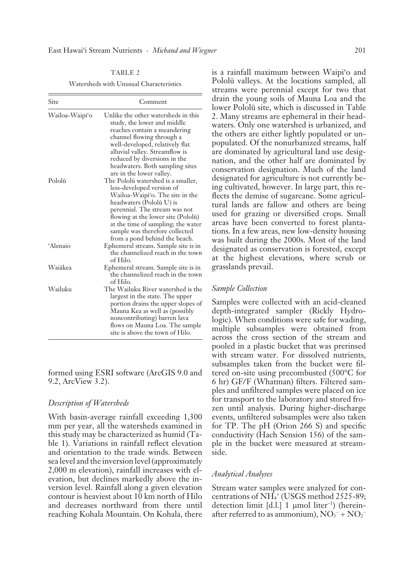TABLE 2

Watersheds with Unusual Characteristics

| Site           | Comment                                                                                                                                                                                                                                                                                                        |
|----------------|----------------------------------------------------------------------------------------------------------------------------------------------------------------------------------------------------------------------------------------------------------------------------------------------------------------|
| Wailoa-Waipi'o | Unlike the other watersheds in this<br>study, the lower and middle<br>reaches contain a meandering<br>channel flowing through a<br>well-developed, relatively flat<br>alluvial valley. Streamflow is<br>reduced by diversions in the<br>headwaters. Both sampling sites<br>are in the lower valley.            |
| Pololū         | The Pololū watershed is a smaller,<br>less-developed version of<br>Wailoa-Waipi'o. The site in the<br>headwaters (Pololū U) is<br>perennial. The stream was not<br>flowing at the lower site (Pololū)<br>at the time of sampling; the water<br>sample was therefore collected<br>from a pond behind the beach. |
| 'Alenaio       | Ephemeral stream. Sample site is in<br>the channelized reach in the town<br>of Hilo.                                                                                                                                                                                                                           |
| Waiākea        | Ephemeral stream. Sample site is in<br>the channelized reach in the town<br>of Hilo.                                                                                                                                                                                                                           |
| Wailuku        | The Wailuku River watershed is the<br>largest in the state. The upper<br>portion drains the upper slopes of<br>Mauna Kea as well as (possibly<br>noncontributing) barren lava<br>flows on Mauna Loa. The sample<br>site is above the town of Hilo.                                                             |

formed using ESRI software (ArcGIS 9.0 and 9.2, ArcView 3.2).

#### *Description of Watersheds*

With basin-average rainfall exceeding 1,300 mm per year, all the watersheds examined in this study may be characterized as humid (Table 1). Variations in rainfall reflect elevation and orientation to the trade winds. Between sea level and the inversion level (approximately 2,000 m elevation), rainfall increases with elevation, but declines markedly above the inversion level. Rainfall along a given elevation contour is heaviest about 10 km north of Hilo and decreases northward from there until reaching Kohala Mountain. On Kohala, there

is a rainfall maximum between Waipi'o and Pololü valleys. At the locations sampled, all streams were perennial except for two that drain the young soils of Mauna Loa and the lower Pololü site, which is discussed in Table 2. Many streams are ephemeral in their headwaters. Only one watershed is urbanized, and the others are either lightly populated or unpopulated. Of the nonurbanized streams, half are dominated by agricultural land use designation, and the other half are dominated by conservation designation. Much of the land designated for agriculture is not currently being cultivated, however. In large part, this reflects the demise of sugarcane. Some agricultural lands are fallow and others are being used for grazing or diversified crops. Small areas have been converted to forest plantations. In a few areas, new low-density housing was built during the 2000s. Most of the land designated as conservation is forested, except at the highest elevations, where scrub or grasslands prevail.

#### *Sample Collection*

Samples were collected with an acid-cleaned depth-integrated sampler (Rickly Hydrologic). When conditions were safe for wading, multiple subsamples were obtained from across the cross section of the stream and pooled in a plastic bucket that was prerinsed with stream water. For dissolved nutrients, subsamples taken from the bucket were filtered on-site using precombusted (500°C for 6 hr) GF/F (Whatman) filters. Filtered samples and unfiltered samples were placed on ice for transport to the laboratory and stored frozen until analysis. During higher-discharge events, unfiltered subsamples were also taken for TP. The pH (Orion 266 S) and specific conductivity (Hach Sension 156) of the sample in the bucket were measured at streamside.

#### *Analytical Analyses*

Stream water samples were analyzed for concentrations of NH4 + (USGS method 2525-89; detection limit [d.l.] 1 μmol liter<sup>−</sup><sup>1</sup> ) (hereinafter referred to as ammonium),  $\overline{NO_3}^{-} + \overline{NO_2}^{-}$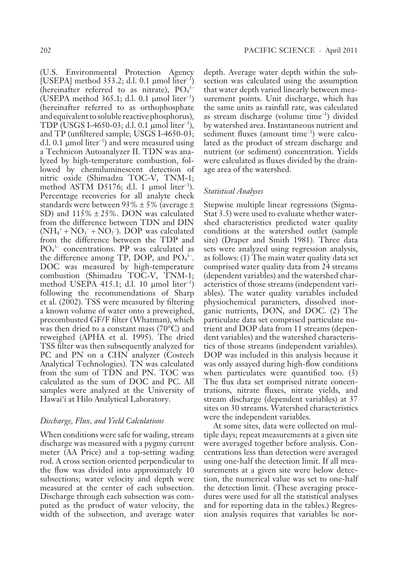(U.S. Environmental Protection Agency [USEPA] method  $353.2$ ; d.l. 0.1 µmol liter<sup>-1</sup>) (hereinafter referred to as nitrate),  $PO_4^3$ -(USEPA method 365.1; d.l. 0.1 μmol liter<sup>−</sup><sup>1</sup> ) (hereinafter referred to as orthophosphate and equivalent to soluble reactive phosphorus), TDP (USGS I-4650-03; d.l. 0.1 μmol liter<sup>−</sup><sup>1</sup> ), and TP (unfiltered sample; USGS I-4650-03; d.l. 0.1 μmol liter<sup>−</sup><sup>1</sup> ) and were measured using a Technicon Autoanalyzer II. TDN was analyzed by high-temperature combustion, followed by chemiluminescent detection of nitric oxide (Shimadzu TOC-V, TNM-1; method ASTM D5176; d.l. 1 μmol liter<sup>−</sup><sup>1</sup> ). Percentage recoveries for all analyte check standards were between  $93\% \pm 5\%$  (average  $\pm$ SD) and 115% ± 25%. DON was calculated from the difference between TDN and DIN  $(NH<sub>4</sub><sup>+</sup> + NO<sub>3</sub><sup>-</sup> + NO<sub>2</sub><sup>-</sup>). DOP was calculated$ from the difference between the TDP and PO<sub>4</sub><sup>3-</sup> concentrations. PP was calculated as the difference among TP, DOP, and  $PO<sub>4</sub><sup>3-</sup>$ . DOC was measured by high-temperature combustion (Shimadzu TOC-V, TNM-1; method USEPA 415.1; d.l. 10 μmol liter<sup>−</sup><sup>1</sup> ) following the recommendations of Sharp et al. (2002). TSS were measured by filtering a known volume of water onto a preweighed, precombusted GF/F filter (Whatman), which was then dried to a constant mass (70°C) and reweighed (APHA et al. 1995). The dried TSS filter was then subsequently analyzed for PC and PN on a CHN analyzer (Costech Analytical Technologies). TN was calculated from the sum of TDN and PN. TOC was calculated as the sum of DOC and PC. All samples were analyzed at the University of Hawai'i at Hilo Analytical Laboratory.

#### *Discharge, Flux, and Yield Calculations*

When conditions were safe for wading, stream discharge was measured with a pygmy current meter (AA Price) and a top-setting wading rod. A cross section oriented perpendicular to the flow was divided into approximately 10 subsections; water velocity and depth were measured at the center of each subsection. Discharge through each subsection was computed as the product of water velocity, the width of the subsection, and average water

depth. Average water depth within the subsection was calculated using the assumption that water depth varied linearly between measurement points. Unit discharge, which has the same units as rainfall rate, was calculated as stream discharge (volume time<sup>−</sup><sup>1</sup> ) divided by watershed area. Instantaneous nutrient and sediment fluxes (amount time<sup>−</sup><sup>1</sup> ) were calculated as the product of stream discharge and nutrient (or sediment) concentration. Yields were calculated as fluxes divided by the drainage area of the watershed.

#### *Statistical Analyses*

Stepwise multiple linear regressions (Sigma-Stat 3.5) were used to evaluate whether watershed characteristics predicted water quality conditions at the watershed outlet (sample site) (Draper and Smith 1981). Three data sets were analyzed using regression analysis, as follows: (1) The main water quality data set comprised water quality data from 24 streams (dependent variables) and the watershed characteristics of those streams (independent variables). The water quality variables included physiochemical parameters, dissolved inorganic nutrients, DON, and DOC. (2) The particulate data set comprised particulate nutrient and DOP data from 11 streams (dependent variables) and the watershed characteristics of those streams (independent variables). DOP was included in this analysis because it was only assayed during high-flow conditions when particulates were quantified too. (3) The flux data set comprised nitrate concentrations, nitrate fluxes, nitrate yields, and stream discharge (dependent variables) at 37 sites on 30 streams. Watershed characteristics were the independent variables.

At some sites, data were collected on multiple days; repeat measurements at a given site were averaged together before analysis. Concentrations less than detection were averaged using one-half the detection limit. If all measurements at a given site were below detection, the numerical value was set to one-half the detection limit. (These averaging procedures were used for all the statistical analyses and for reporting data in the tables.) Regression analysis requires that variables be nor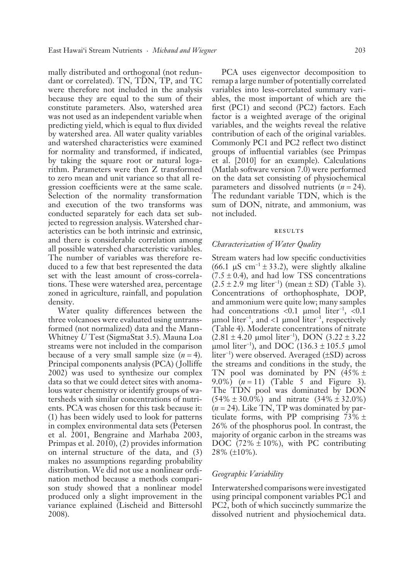mally distributed and orthogonal (not redundant or correlated). TN, TDN, TP, and TC were therefore not included in the analysis because they are equal to the sum of their constitute parameters. Also, watershed area was not used as an independent variable when predicting yield, which is equal to flux divided by watershed area. All water quality variables and watershed characteristics were examined for normality and transformed, if indicated, by taking the square root or natural logarithm. Parameters were then Z transformed to zero mean and unit variance so that all regression coefficients were at the same scale. Selection of the normality transformation and execution of the two transforms was conducted separately for each data set subjected to regression analysis. Watershed characteristics can be both intrinsic and extrinsic, and there is considerable correlation among all possible watershed characteristic variables. The number of variables was therefore reduced to a few that best represented the data set with the least amount of cross-correlations. These were watershed area, percentage zoned in agriculture, rainfall, and population density.

Water quality differences between the three volcanoes were evaluated using untransformed (not normalized) data and the Mann-Whitney *U* Test (SigmaStat 3.5). Mauna Loa streams were not included in the comparison because of a very small sample size  $(n = 4)$ . Principal components analysis (PCA) ( Jolliffe 2002) was used to synthesize our complex data so that we could detect sites with anomalous water chemistry or identify groups of watersheds with similar concentrations of nutrients. PCA was chosen for this task because it: (1) has been widely used to look for patterns in complex environmental data sets (Petersen et al. 2001, Bengraine and Marhaba 2003, Primpas et al. 2010), (2) provides information on internal structure of the data, and (3) makes no assumptions regarding probability distribution. We did not use a nonlinear ordination method because a methods comparison study showed that a nonlinear model p roduced only a slight improvement in the variance explained (Lischeid and Bittersohl 2008).

PCA uses eigenvector decomposition to remap a large number of potentially correlated variables into less-correlated summary variables, the most important of which are the first (PC1) and second (PC2) factors. Each factor is a weighted average of the original variables, and the weights reveal the relative contribution of each of the original variables. Commonly PC1 and PC2 reflect two distinct groups of influential variables (see Primpas et al. [2010] for an example). Calculations (Matlab software version 7.0) were performed on the data set consisting of physiochemical parameters and dissolved nutrients (*n* = 24). The redundant variable TDN, which is the sum of DON, nitrate, and ammonium, was not included.

#### **RESULTS**

#### *Characterization of Water Quality*

Stream waters had low specific conductivities (66.1  $\mu$ S cm<sup>-1</sup> ± 33.2), were slightly alkaline  $(7.5 \pm 0.4)$ , and had low TSS concentrations  $(2.5 \pm 2.9 \, \text{mg liter}^{-1})$  (mean ± SD) (Table 3). Concentrations of orthophosphate, DOP, and ammonium were quite low; many samples had concentrations <0.1 μmol liter<sup>-1</sup>, <0.1 μmol liter<sup>−</sup><sup>1</sup> , and <1 μmol liter<sup>−</sup><sup>1</sup> , respectively (Table 4). Moderate concentrations of nitrate (2.81 ± 4.20 μmol liter<sup>−</sup><sup>1</sup> ), DON (3.22 ± 3.22 µmol liter<sup>-1</sup>), and DOC (136.3 ± 105.5 µmol liter<sup>−</sup><sup>1</sup> ) were observed. Averaged (±SD) across the streams and conditions in the study, the TN pool was dominated by PN  $(45\% \pm$ 9.0%) (*n* = 11) (Table 5 and Figure 3). The TDN pool was dominated by DON  $(54\% \pm 30.0\%)$  and nitrate  $(34\% \pm 32.0\%)$ (*n* = 24). Like TN, TP was dominated by particulate forms, with PP comprising  $73\% \pm$ 26% of the phosphorus pool. In contrast, the majority of organic carbon in the streams was DOC  $(72\% \pm 10\%)$ , with PC contributing  $28\%$  ( $\pm 10\%$ ).

#### *Geographic Variability*

Interwatershed comparisons were investigated using principal component variables PC1 and PC2, both of which succinctly summarize the dissolved nutrient and physiochemical data.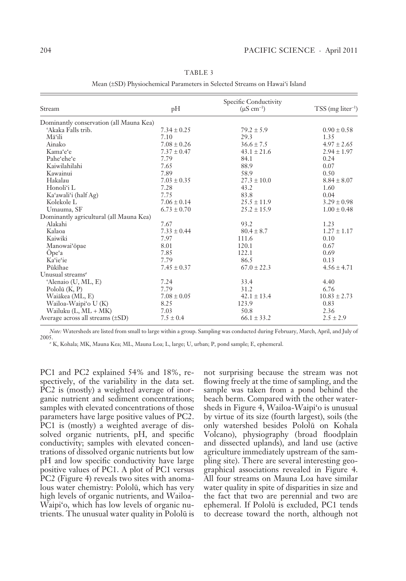|                                         |                 | Specific Conductivity     |                                 |
|-----------------------------------------|-----------------|---------------------------|---------------------------------|
| Stream                                  | pH              | $(\mu S \text{ cm}^{-1})$ | $TSS$ (mg liter <sup>-1</sup> ) |
| Dominantly conservation (all Mauna Kea) |                 |                           |                                 |
| 'Akaka Falls trib.                      | $7.34 \pm 0.25$ | $79.2 \pm 5.9$            | $0.90 \pm 0.58$                 |
| Māʻili                                  | 7.10            | 29.3                      | 1.35                            |
| Ainako                                  | $7.08 \pm 0.26$ | $36.6 \pm 7.5$            | $4.97 \pm 2.65$                 |
| Kama'e'e                                | $7.37 \pm 0.47$ | $43.1 \pm 21.6$           | $2.94 \pm 1.97$                 |
| Pahe'ehe'e                              | 7.79            | 84.1                      | 0.24                            |
| Kaiwilahilahi                           | 7.65            | 88.9                      | 0.07                            |
| Kawainui                                | 7.89            | 58.9                      | 0.50                            |
| Hakalau                                 | $7.03 \pm 0.35$ | $27.3 \pm 10.0$           | $8.84 \pm 8.07$                 |
| Honoli'i L                              | 7.28            | 43.2                      | 1.60                            |
| Ka'awali'i (half Ag)                    | 7.75            | 83.8                      | 0.04                            |
| Kolekole L                              | $7.06 \pm 0.14$ | $25.5 \pm 11.9$           | $3.29 \pm 0.98$                 |
| Umauma, SF                              | $6.73 \pm 0.70$ | $25.2 \pm 15.9$           | $1.00 \pm 0.48$                 |
| Dominantly agricultural (all Mauna Kea) |                 |                           |                                 |
| Alakahi                                 | 7.67            | 93.2                      | 1.23                            |
| Kalaoa                                  | $7.33 \pm 0.44$ | $80.4 \pm 8.7$            | $1.27 \pm 1.17$                 |
| Kaiwiki                                 | 7.97            | 111.6                     | 0.10                            |
| Manowai'opae                            | 8.01            | 120.1                     | 0.67                            |
| Ope'a                                   | 7.85            | 122.1                     | 0.69                            |
| Ka'ie'ie                                | 7.79            | 86.5                      | 0.13                            |
| Pūkīhae                                 | $7.45 \pm 0.37$ | $67.0 \pm 22.3$           | $4.56 \pm 4.71$                 |
| Unusual streams <sup>a</sup>            |                 |                           |                                 |
| 'Alenaio (U, ML, E)                     | 7.24            | 33.4                      | 4.40                            |
| Polol $\bar{u}$ (K, P)                  | 7.79            | 31.2                      | 6.76                            |
| Waiākea (ML, E)                         | $7.08 \pm 0.05$ | $42.1 \pm 13.4$           | $10.83 \pm 2.73$                |
| Wailoa-Waipi'o U (K)                    | 8.25            | 123.9                     | 0.83                            |
| Wailuku $(L, ML + MK)$                  | 7.03            | 50.8                      | 2.36                            |
| Average across all streams $(\pm SD)$   | $7.5 \pm 0.4$   | $66.1 \pm 33.2$           | $2.5 \pm 2.9$                   |

TABLE 3

Mean (±SD) Physiochemical Parameters in Selected Streams on Hawai'i Island

*Note:* Watersheds are listed from small to large within a group. Sampling was conducted during February, March, April, and July of 2005.

*a* K, Kohala; MK, Mauna Kea; ML, Mauna Loa; L, large; U, urban; P, pond sample; E, ephemeral.

PC1 and PC2 explained 54% and 18%, respectively, of the variability in the data set. PC2 is (mostly) a weighted average of inorganic nutrient and sediment concentrations; samples with elevated concentrations of those parameters have large positive values of PC2. PC1 is (mostly) a weighted average of dissolved organic nutrients, pH, and specific conductivity; samples with elevated concentrations of dissolved organic nutrients but low pH and low specific conductivity have large positive values of PC1. A plot of PC1 versus PC2 (Figure 4) reveals two sites with anomalous water chemistry: Pololü, which has very high levels of organic nutrients, and Wailoa-Waipi'o, which has low levels of organic nutrients. The unusual water quality in Pololü is not surprising because the stream was not flowing freely at the time of sampling, and the sample was taken from a pond behind the beach berm. Compared with the other watersheds in Figure 4, Wailoa-Waipi'o is unusual by virtue of its size (fourth largest), soils (the only watershed besides Pololü on Kohala Volcano), physiography ( broad floodplain and dissected uplands), and land use (active agriculture immediately upstream of the sampling site). There are several interesting geographical associations revealed in Figure 4. All four streams on Mauna Loa have similar water quality in spite of disparities in size and the fact that two are perennial and two are ephemeral. If Pololü is excluded, PC1 tends to decrease toward the north, although not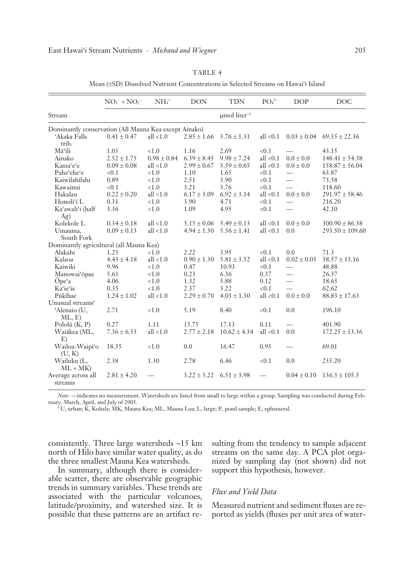|                                                       | $NO3- + NO2-$   | $NH4+$          | <b>DON</b>      | <b>TDN</b>                    | PO <sub>4</sub> <sup>3–</sup> | <b>DOP</b>               | <b>DOC</b>          |
|-------------------------------------------------------|-----------------|-----------------|-----------------|-------------------------------|-------------------------------|--------------------------|---------------------|
| Stream                                                |                 |                 |                 | $\mu$ mol liter <sup>-1</sup> |                               |                          |                     |
| Dominantly conservation (All Mauna Kea except Ainako) |                 |                 |                 |                               |                               |                          |                     |
| 'Akaka Falls<br>trib.                                 | $0.41 \pm 0.47$ | all $<1.0$      | $2.85 \pm 1.66$ | $3.76 \pm 1.31$               | all $< 0.1$                   | $0.03 \pm 0.04$          | $69.35 \pm 22.36$   |
| Māʻili                                                | 1.03            | < 1.0           | 1.16            | 2.69                          | < 0.1                         |                          | 43.15               |
| Ainako                                                | $2.52 \pm 1.75$ | $0.98 \pm 0.84$ | $6.39 \pm 8.45$ | $9.98 \pm 7.24$               | all $< 0.1$                   | $0.0 \pm 0.0$            | $148.41 \pm 54.38$  |
| Kama'e'e                                              | $0.09 \pm 0.08$ | all $<1.0$      | $2.99 \pm 0.67$ | $3.59 \pm 0.65$               | all $< 0.1$                   | $0.0 \pm 0.0$            | $158.87 \pm 56.04$  |
| Pahe'ehe'e                                            | < 0.1           | < 1.0           | 1.10            | 1.65                          | < 0.1                         | $\overline{\phantom{0}}$ | 63.87               |
| Kaiwilahilahi                                         | 0.89            | < 1.0           | 2.51            | 3.90                          | < 0.1                         |                          | 73.58               |
| Kawainui                                              | < 0.1           | < 1.0           | 3.21            | 3.76                          | < 0.1                         |                          | 118.60              |
| Hakalau                                               | $0.22 \pm 0.20$ | all $<1.0$      | $6.17 \pm 3.09$ | $6.92 \pm 3.14$               | all $< 0.1$                   | $0.0 \pm 0.0$            | $291.97 \pm 58.46$  |
| Honoli'i L                                            | 0.31            | < 1.0           | 3.90            | 4.71                          | < 0.1                         |                          | 216.20              |
| Ka'awali'i (half                                      | 3.36            | < 1.0           | 1.09            | 4.95                          | < 0.1                         | $\overline{\phantom{a}}$ | 42.10               |
| Ag)                                                   |                 |                 |                 |                               |                               |                          |                     |
| Kolekole L                                            | $0.34 \pm 0.18$ | all $<1.0$      | $5.15 \pm 0.06$ | $5.49 \pm 0.13$               | all $< 0.1$                   | $0.0 \pm 0.0$            | $300.90 \pm 86.38$  |
| Umauma,                                               | $0.09 \pm 0.13$ | all $<1.0$      | $4.94 \pm 1.50$ | $5.56 \pm 1.41$               | all $< 0.1$                   | 0.0                      | $293.50 \pm 109.60$ |
| South Fork                                            |                 |                 |                 |                               |                               |                          |                     |
| Dominantly agricultural (all Mauna Kea)               |                 |                 |                 |                               |                               |                          |                     |
| Alakahi                                               | 1.23            | < 1.0           | 2.22            | 3.95                          | < 0.1                         | 0.0                      | 71.3                |
| Kalaoa                                                | $4.43 \pm 4.18$ | all $<1.0$      | $0.90 \pm 1.30$ | $5.81 \pm 3.52$               | all $< 0.1$                   | $0.02 \pm 0.03$          | $58.57 \pm 13.16$   |
| Kaiwiki                                               | 9.96            | < 1.0           | 0.47            | 10.93                         | < 0.1                         |                          | 48.88               |
| Manowai'opae                                          | 5.63            | < 1.0           | 0.23            | 6.36                          | 0.37                          | $\overline{\phantom{0}}$ | 26.37               |
| Ope'a                                                 | 4.06            | < 1.0           | 1.32            | 5.88                          | 0.12                          | $\overline{\phantom{0}}$ | 18.65               |
| Ka'ie'ie                                              | 0.35            | < 1.0           | 2.37            | 3.22                          | < 0.1                         | $\overline{\phantom{0}}$ | 62.62               |
| Pūkīhae                                               | $1.24 \pm 1.02$ | all $<1.0$      | $2.29 \pm 0.70$ | $4.03 \pm 1.30$               | all $< 0.1$                   | $0.0 \pm 0.0$            | $88.83 \pm 17.63$   |
| Unusual streams <sup>a</sup>                          |                 |                 |                 |                               |                               |                          |                     |
| 'Alenaio (U,<br>ML, E                                 | 2.71            | < 1.0           | 5.19            | 8.40                          | < 0.1                         | 0.0                      | 196.10              |
| Polol $\bar{u}$ (K, P)                                | 0.27            | 1.11            | 15.75           | 17.13                         | 0.11                          |                          | 401.90              |
| Waiākea (ML,                                          | $7.36 \pm 6.53$ | all $<1.0$      | $2.77 \pm 2.18$ | $10.62 \pm 4.34$              | all $< 0.1$                   | 0.0                      | $172.25 \pm 13.36$  |
| E)<br>Wailoa-Waipi'o                                  | 18.35           | < 1.0           | 0.0             | 16.47                         | 0.95                          |                          | 69.01               |
| (U, K)<br>Wailuku (L,                                 | 2.38            | 1.30            | 2.78            | 6.46                          | < 0.1                         | 0.0                      | 235.20              |
| $ML + MK$<br>Average across all<br>streams            | $2.81 \pm 4.20$ |                 | $3.22 \pm 3.22$ | $6.51 + 3.98$                 |                               | $0.04 \pm 0.10$          | $136.3 \pm 105.5$   |

TABLE 4

Mean (±SD) Dissolved Nutrient Concentrations in Selected Streams on Hawai'i Island

*Note:* — indicates no measurement. Watersheds are listed from small to large within a group. Sampling was conducted during February, March, April, and July of 2005.

*a* U, urban; K, Kohala; MK, Mauna Kea; ML, Mauna Loa; L, large; P, pond sample; E, ephemeral.

consistently. Three large watersheds ∼15 km north of Hilo have similar water quality, as do the three smallest Mauna Kea watersheds.

In summary, although there is considerable scatter, there are observable geographic trends in summary variables. These trends are associated with the particular volcanoes, latitude/proximity, and watershed size. It is possible that these patterns are an artifact re-

sulting from the tendency to sample adjacent streams on the same day. A PCA plot organized by sampling day (not shown) did not support this hypothesis, however.

#### *Flux and Yield Data*

Measured nutrient and sediment fluxes are reported as yields (fluxes per unit area of water-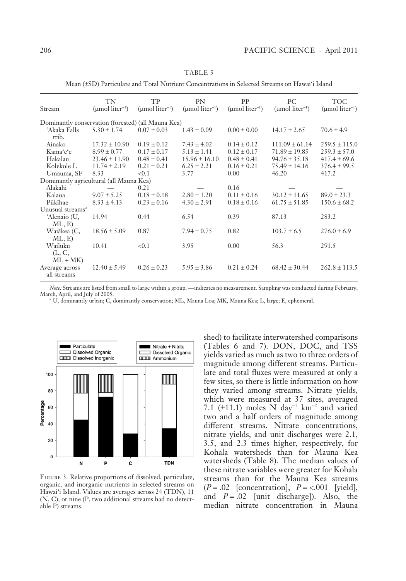| Stream                                             | TN<br>$\pmod{\text{liter}^{-1}}$ | TP<br>$(\mu$ mol liter <sup>-1</sup> ) | <b>PN</b><br>$(\mu$ mol liter <sup>-1</sup> ) | PP<br>$(\mu$ mol liter <sup>-1</sup> ) | PC.<br>$(\mu$ mol liter <sup>-1</sup> ) | <b>TOC</b><br>$(\mu$ mol liter <sup>-1</sup> ) |
|----------------------------------------------------|----------------------------------|----------------------------------------|-----------------------------------------------|----------------------------------------|-----------------------------------------|------------------------------------------------|
| Dominantly conservation (forested) (all Mauna Kea) |                                  |                                        |                                               |                                        |                                         |                                                |
| 'Akaka Falls<br>trib.                              | $5.30 \pm 1.74$                  | $0.07 \pm 0.03$                        | $1.43 \pm 0.09$                               | $0.00 \pm 0.00$                        | $14.17 \pm 2.65$                        | $70.6 \pm 4.9$                                 |
| Ainako                                             | $17.32 \pm 10.90$                | $0.19 \pm 0.12$                        | $7.43 \pm 4.02$                               | $0.14 \pm 0.12$                        | $111.09 \pm 61.14$                      | $259.5 \pm 115.0$                              |
| Kama'e'e                                           | $8.99 \pm 0.77$                  | $0.17 \pm 0.17$                        | $5.13 \pm 1.41$                               | $0.12 \pm 0.17$                        | $71.89 \pm 19.85$                       | $259.3 \pm 57.0$                               |
| Hakalau                                            | $23.46 \pm 11.90$                | $0.48 \pm 0.41$                        | $15.96 \pm 16.10$                             | $0.48 \pm 0.41$                        | $94.76 \pm 35.18$                       | $417.4 \pm 69.6$                               |
| Kolekole L                                         | $11.74 \pm 2.19$                 | $0.21 \pm 0.21$                        | $6.25 \pm 2.21$                               | $0.16 \pm 0.21$                        | $75.49 \pm 14.16$                       | $376.4 \pm 99.5$                               |
| Umauma, SF                                         | 8.33                             | < 0.1                                  | 3.77                                          | 0.00                                   | 46.20                                   | 417.2                                          |
| Dominantly agricultural (all Mauna Kea)            |                                  |                                        |                                               |                                        |                                         |                                                |
| Alakahi                                            |                                  | 0.21                                   |                                               | 0.16                                   |                                         |                                                |
| Kalaoa                                             | $9.07 \pm 5.25$                  | $0.18 \pm 0.18$                        | $2.80 \pm 1.20$                               | $0.11 \pm 0.16$                        | $30.12 \pm 11.65$                       | $89.0 \pm 23.3$                                |
| Pūkīhae                                            | $8.33 \pm 4.13$                  | $0.23 \pm 0.16$                        | $4.30 \pm 2.91$                               | $0.18 \pm 0.16$                        | $61.75 \pm 51.85$                       | $150.6 \pm 68.2$                               |
| Unusual streams <sup>a</sup>                       |                                  |                                        |                                               |                                        |                                         |                                                |
| 'Alenaio (U,<br>ML, E                              | 14.94                            | 0.44                                   | 6.54                                          | 0.39                                   | 87.13                                   | 283.2                                          |
| Waiākea (C,<br>ML, E)                              | $18.56 \pm 5.09$                 | 0.87                                   | $7.94 \pm 0.75$                               | 0.82                                   | $103.7 \pm 6.5$                         | $276.0 \pm 6.9$                                |
| Wailuku<br>(L, C,<br>$ML + MK$                     | 10.41                            | < 0.1                                  | 3.95                                          | 0.00                                   | 56.3                                    | 291.5                                          |
| Average across<br>all streams                      | $12.40 \pm 5.49$                 | $0.26 \pm 0.23$                        | $5.95 \pm 3.86$                               | $0.21 \pm 0.24$                        | $68.42 \pm 30.44$                       | $262.8 \pm 113.5$                              |

TABLE 5

Mean (±SD) Particulate and Total Nutrient Concentrations in Selected Streams on Hawai'i Island

*Note:* Streams are listed from small to large within a group. — indicates no measurement. Sampling was conducted during February, March, April, and July of 2005.

*a* U, dominantly urban; C, dominantly conservation; ML, Mauna Loa; MK, Mauna Kea; L, large; E, ephemeral.



Figure 3. Relative proportions of dissolved, particulate, organic, and inorganic nutrients in selected streams on Hawai'i Island. Values are averages across 24 (TDN), 11 ( N, C), or nine (P, two additional streams had no detectable P) streams.

shed) to facilitate interwatershed comparisons (Tables 6 and 7). DON, DOC, and TSS yields varied as much as two to three orders of magnitude among different streams. Particulate and total fluxes were measured at only a few sites, so there is little information on how they varied among streams. Nitrate yields, which were measured at 37 sites, averaged 7.1 (±11.1) moles N day<sup>-1</sup> km<sup>-2</sup> and varied two and a half orders of magnitude among different streams. Nitrate concentrations, nitrate yields, and unit discharges were 2.1, 3.5, and 2.3 times higher, respectively, for Kohala watersheds than for Mauna Kea watersheds (Table 8). The median values of these nitrate variables were greater for Kohala streams than for the Mauna Kea streams (*P* = .02 [concentration], *P* = <.001 [yield], and  $P = .02$  [unit discharge]). Also, the median nitrate concentration in Mauna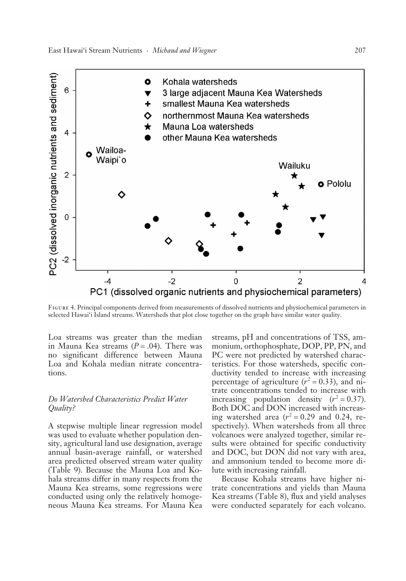

Figure 4. Principal components derived from measurements of dissolved nutrients and physiochemical parameters in selected Hawai'i Island streams. Watersheds that plot close together on the graph have similar water quality.

Loa streams was greater than the median in Mauna Kea streams  $(P = .04)$ . There was no significant difference between Mauna Loa and Kohala median nitrate concentrations.

### *Do Watershed Characteristics Predict Water Quality?*

A stepwise multiple linear regression model was used to evaluate whether population density, agricultural land use designation, average annual basin-average rainfall, or watershed area predicted observed stream water quality (Table 9). Because the Mauna Loa and Kohala streams differ in many respects from the Mauna Kea streams, some regressions were conducted using only the relatively homogeneous Mauna Kea streams. For Mauna Kea streams, pH and concentrations of TSS, ammonium, orthophosphate, DOP, PP, PN, and PC were not predicted by watershed characteristics. For those watersheds, specific conductivity tended to increase with increasing percentage of agriculture  $(r^2 = 0.33)$ , and nitrate concentrations tended to increase with increasing population density  $(r^2 = 0.37)$ . Both DOC and DON increased with increasing watershed area  $(r^2 = 0.29$  and 0.24, respectively). When watersheds from all three volcanoes were analyzed together, similar results were obtained for specific conductivity and DOC, but DON did not vary with area, and ammonium tended to become more dilute with increasing rainfall.

Because Kohala streams have higher nitrate concentrations and yields than Mauna Kea streams (Table 8), flux and yield analyses were conducted separately for each volcano.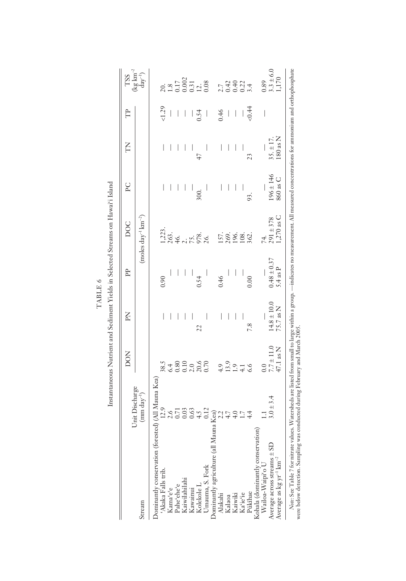|      |   | ,                    |
|------|---|----------------------|
|      |   | ţ                    |
|      | ╰ | j                    |
| 囜    |   | $\ddot{\phantom{0}}$ |
| TABL |   | j                    |
|      |   |                      |

| í      |  |
|--------|--|
| ļ      |  |
|        |  |
|        |  |
|        |  |
| ו<br>ו |  |
|        |  |
|        |  |
|        |  |
|        |  |
|        |  |
|        |  |
| ļ      |  |
|        |  |
|        |  |
|        |  |
|        |  |
|        |  |
|        |  |
|        |  |
|        |  |
| í      |  |
| ı<br>l |  |
| i<br>í |  |
|        |  |
| I      |  |
|        |  |
|        |  |
|        |  |
| ļ      |  |
|        |  |
| i      |  |
|        |  |
|        |  |
|        |  |
|        |  |
| I      |  |
|        |  |
|        |  |
|        |  |
|        |  |
|        |  |
|        |  |
|        |  |
|        |  |
|        |  |

|                                                                                    |                                                                                                                                                  | DON                                            | Kd                           | È                        | <b>DOC</b>                                                    | PC                                                                                                   | E                        | Ê                              | $\mathop{\rm TSS}_{\rm{deg\,km^{-2}}}^{\rm TSS}$                                   |
|------------------------------------------------------------------------------------|--------------------------------------------------------------------------------------------------------------------------------------------------|------------------------------------------------|------------------------------|--------------------------|---------------------------------------------------------------|------------------------------------------------------------------------------------------------------|--------------------------|--------------------------------|------------------------------------------------------------------------------------|
| Stream                                                                             | $(mm \, \text{day}^{-1})$                                                                                                                        |                                                |                              |                          | $(moles day^{-1} km^{-2})$                                    |                                                                                                      |                          |                                |                                                                                    |
|                                                                                    |                                                                                                                                                  |                                                |                              |                          |                                                               |                                                                                                      |                          |                                |                                                                                    |
| Dominantly conservation (forested)<br>'Akaka Falls trib.<br>Kama'e'e<br>Pahe'ehe'e | ed) (All Manna Kea)<br>12.9<br>12.9<br>0.71<br>0.63<br>4.5<br>4.4<br>0.12<br>a 2.2<br>4.4<br>4.4<br>4.4<br>4.4                                   |                                                |                              | 0.90                     |                                                               |                                                                                                      |                          | 1.29                           |                                                                                    |
|                                                                                    |                                                                                                                                                  |                                                |                              |                          |                                                               |                                                                                                      |                          | $\begin{array}{c} \end{array}$ |                                                                                    |
|                                                                                    |                                                                                                                                                  |                                                |                              |                          |                                                               |                                                                                                      |                          | $\overline{\phantom{a}}$       |                                                                                    |
|                                                                                    |                                                                                                                                                  | $38.5$<br>$6.300$<br>$6.300$<br>$700$<br>$700$ |                              |                          |                                                               | $\overline{\phantom{a}}$                                                                             |                          |                                |                                                                                    |
|                                                                                    |                                                                                                                                                  |                                                |                              |                          |                                                               |                                                                                                      |                          |                                |                                                                                    |
| Kawainui<br>Kolekole L                                                             |                                                                                                                                                  |                                                | 22                           | 0.54                     |                                                               | 300.                                                                                                 | $\overline{4}$           | $\frac{1}{1}$   $\frac{1}{5}$  |                                                                                    |
| Jmauma, S. Fork                                                                    |                                                                                                                                                  |                                                |                              |                          | $1,223$ ,<br>$263$ ,<br>$46$ ,<br>$75$ ,<br>$978$ ,<br>$26$ , |                                                                                                      | $\overline{\phantom{a}}$ | $\overline{\phantom{a}}$       | $\begin{array}{c} 20.0 \\ 1.8 \\ 0.17 \\ 0.002 \\ 0.31 \\ 1.3 \\ 0.08 \end{array}$ |
| Dominantly agriculture (all Maun                                                   |                                                                                                                                                  |                                                |                              |                          |                                                               |                                                                                                      |                          |                                |                                                                                    |
| Alakahi                                                                            |                                                                                                                                                  |                                                |                              | 0.46                     | 1586.82.                                                      |                                                                                                      |                          |                                | $7.442$<br>$2.442$<br>$2.54$<br>$2.54$                                             |
|                                                                                    |                                                                                                                                                  |                                                |                              | $\overline{a}$           |                                                               |                                                                                                      | $\bigg $                 | $-66$                          |                                                                                    |
| Kalaoa<br>Kaiwiki<br>Ka'ie'ie<br>Pūkīhae                                           |                                                                                                                                                  | $4.9$<br>$1.3$ , 9<br>$1.4$ , 9<br>6.6         |                              |                          |                                                               | $\begin{array}{c c c c c c} \hline \quad \  & \quad \  & \quad \  & \quad \  & \quad \  \end{array}$ |                          |                                |                                                                                    |
|                                                                                    |                                                                                                                                                  |                                                | $\overline{\phantom{a}}$     | $\overline{\phantom{a}}$ |                                                               |                                                                                                      |                          | $\frac{1}{4}$                  |                                                                                    |
|                                                                                    |                                                                                                                                                  |                                                | 7.8                          |                          |                                                               | 93.                                                                                                  | 23                       |                                |                                                                                    |
|                                                                                    |                                                                                                                                                  |                                                |                              |                          |                                                               |                                                                                                      |                          |                                |                                                                                    |
| Kohala (dominantly conservation) Wailoa-Waipi'o U                                  |                                                                                                                                                  |                                                |                              |                          | 74.<br>291 ± 378<br>1,270 as C                                |                                                                                                      |                          | I                              |                                                                                    |
|                                                                                    | $3.0 \pm 3.4$                                                                                                                                    | $7.7\pm11.0$ 47.1 as N                         | $14.8 \pm 10.0$<br>75.7 as N | $0.48\pm0.37$            |                                                               | $196 \pm 146$                                                                                        | $35. \pm 17$             |                                |                                                                                    |
| Average across streams $\pm$ SD<br>Average as kg yr <sup>-1</sup> km <sup>-2</sup> |                                                                                                                                                  |                                                |                              | $4$ as $P$               |                                                               | 860 as C                                                                                             | $80$ as $N$              |                                | $0.89$<br>3.3 ± 6.0<br>1,170                                                       |
| Note: See Table 7 for nitrate values.                                              | Watersheds are listed from small to large within a group. —indicates no measurement. All measured concentrations for ammonium and orthophosphate |                                                |                              |                          |                                                               |                                                                                                      |                          |                                |                                                                                    |

were below detection. Sampling was conducted during February and March 2005. were below detection. Sampling was conducted during February and March 2005.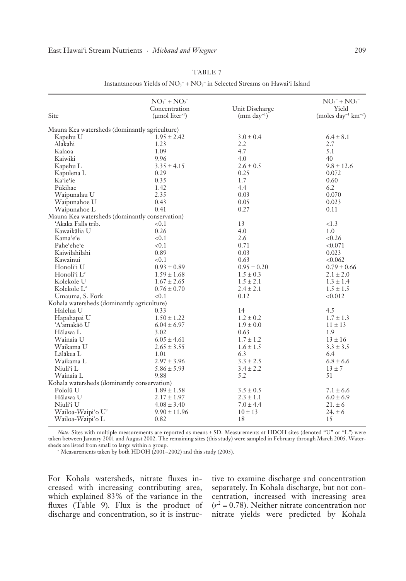| Site                                           | $NO3- + NO2-$<br>Concentration<br>$(\mu$ mol liter <sup>-1</sup> ) | Unit Discharge<br>$\text{(mm day}^{-1})$ | $NO3- + NO2-$<br>Yield<br>(moles $day^{-1} km^{-2}$ ) |
|------------------------------------------------|--------------------------------------------------------------------|------------------------------------------|-------------------------------------------------------|
| Mauna Kea watersheds (dominantly agriculture)  |                                                                    |                                          |                                                       |
| Kapehu U                                       | $1.95 \pm 2.42$                                                    | $3.0 \pm 0.4$                            | $6.4 \pm 8.1$                                         |
| Alakahi                                        | 1.23                                                               | 2.2                                      | 2.7                                                   |
| Kalaoa                                         | 1.09                                                               | 4.7                                      | 5.1                                                   |
| Kaiwiki                                        | 9.96                                                               | 4.0                                      | 40                                                    |
| Kapehu L                                       | $3.35 \pm 4.15$                                                    | $2.6 \pm 0.5$                            | $9.8 \pm 12.6$                                        |
| Kapulena L                                     | 0.29                                                               | 0.25                                     | 0.072                                                 |
| Ka'ie'ie                                       | 0.35                                                               | 1.7                                      | 0.60                                                  |
| Pūkīhae                                        | 1.42                                                               | 4.4                                      | 6.2                                                   |
| Waipunalau U                                   | 2.35                                                               | 0.03                                     | 0.070                                                 |
| Waipunahoe U                                   | 0.43                                                               | 0.05                                     | 0.023                                                 |
| Waipunahoe L                                   | 0.41                                                               | 0.27                                     | 0.11                                                  |
| Mauna Kea watersheds (dominantly conservation) |                                                                    |                                          |                                                       |
| 'Akaka Falls trib.                             | < 0.1                                                              | 13                                       | <1.3                                                  |
| Kawaikālia U                                   | 0.26                                                               | 4.0                                      | 1.0                                                   |
| Kama'e'e                                       | < 0.1                                                              | 2.6                                      | < 0.26                                                |
| Pahe'ehe'e                                     | < 0.1                                                              | 0.71                                     | < 0.071                                               |
| Kaiwilahilahi                                  | 0.89                                                               | 0.03                                     | 0.023                                                 |
| Kawainui                                       | < 0.1                                                              | 0.63                                     | < 0.062                                               |
| Honoli'i U                                     | $0.93 \pm 0.89$                                                    | $0.95 \pm 0.20$                          | $0.79 \pm 0.66$                                       |
| Honoli'i L <sup>a</sup>                        | $1.59 \pm 1.68$                                                    | $1.5 \pm 0.3$                            | $2.1 \pm 2.0$                                         |
| Kolekole U                                     | $1.67 \pm 2.65$                                                    | $1.5 \pm 2.1$                            | $1.3 \pm 1.4$                                         |
| Kolekole L <sup>a</sup>                        | $0.76 \pm 0.70$                                                    | $2.4 \pm 2.1$                            | $1.5 \pm 1.5$                                         |
| Umauma, S. Fork                                | < 0.1                                                              | 0.12                                     | < 0.012                                               |
| Kohala watersheds (dominantly agriculture)     |                                                                    |                                          |                                                       |
| Halelua U                                      | 0.33                                                               | 14                                       | 4.5                                                   |
| Hapahapai U                                    | $1.50 \pm 1.22$                                                    | $1.2 \pm 0.2$                            | $1.7 \pm 1.3$                                         |
| 'A'amakāō U                                    | $6.04 \pm 6.97$                                                    | $1.9 \pm 0.0$                            | $11 \pm 13$                                           |
| Hālawa L                                       | 3.02                                                               | 0.63                                     | 1.9                                                   |
| Wainaia U                                      | $6.05 \pm 4.61$                                                    | $1.7 \pm 1.2$                            | $13 \pm 16$                                           |
| Waikama U                                      | $2.65 \pm 3.55$                                                    | $1.6 \pm 1.5$                            | $3.3 \pm 3.5$                                         |
| Lālākea L                                      | 1.01                                                               | 6.3                                      | 6.4                                                   |
| Waikama L                                      | $2.97 \pm 3.96$                                                    | $3.3 \pm 2.5$                            | $6.8 \pm 6.6$                                         |
| Niuli'i L                                      | $5.86 \pm 5.93$                                                    | $3.4 \pm 2.2$                            | $13 \pm 7$                                            |
| Wainaia L                                      | 9.88                                                               | 5.2                                      | 51                                                    |
| Kohala watersheds (dominantly conservation)    |                                                                    |                                          |                                                       |
| Pololū <sub>U</sub>                            | $1.89 \pm 1.58$                                                    | $3.5 \pm 0.5$                            | $7.1 \pm 6.6$                                         |
| Hālawa U                                       | $2.17 \pm 1.97$                                                    | $2.3 \pm 1.1$                            | $6.0 \pm 6.9$                                         |
| Niuli'i U                                      | $4.08 \pm 3.40$                                                    | $7.0 \pm 4.4$                            | $21. \pm 6$                                           |
| Wailoa-Waipi'o U <sup>a</sup>                  | $9.90 \pm 11.96$                                                   | $10 \pm 13$                              | $24. \pm 6$                                           |
| Wailoa-Waini'o L                               | 0.82                                                               | 18                                       | 15                                                    |

TABLE 7 Instantaneous Yields of  $NO<sub>3</sub><sup>-</sup> + NO<sub>2</sub><sup>-</sup>$  in Selected Streams on Hawai'i Island

*Note:* Sites with multiple measurements are reported as means ± SD. Measurements at HDOH sites (denoted "U" or "L") were taken between January 2001 and August 2002. The remaining sites (this study) were sampled in February through March 2005. Water-

sheds are listed from small to large within a group.<br><sup>*a*</sup> Measurements taken by both HDOH (2001–2002) and this study (2005).

For Kohala watersheds, nitrate fluxes increased with increasing contributing area, which explained 83% of the variance in the fluxes (Table 9). Flux is the product of discharge and concentration, so it is instruc-

Wailoa-Waipi'o L

tive to examine discharge and concentration separately. In Kohala discharge, but not concentration, increased with increasing area  $(r^2 = 0.78)$ . Neither nitrate concentration nor nitrate yields were predicted by Kohala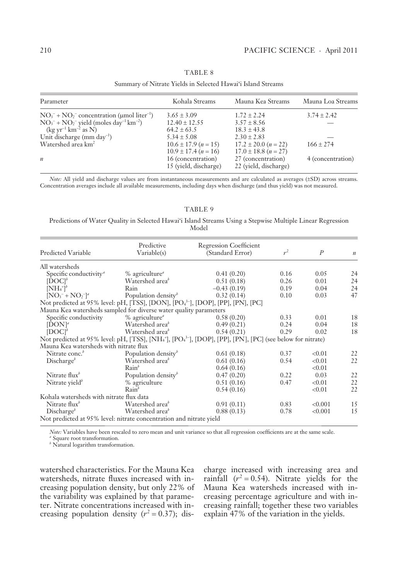#### Parameter Kohala Streams Mauna Kea Streams Mauna Loa Streams  $NO<sub>3</sub><sup>-</sup> + NO<sub>2</sub><sup>-</sup> concentration (µmol liter<sup>-1</sup>)$  $3.65 + 3.09$  1.72 + 2.24  $3.74 + 2.42$  $NO_3^- + NO_2^-$  yield (moles day<sup>-1</sup> km<sup>-2</sup>) (kg yr<sup>−</sup><sup>1</sup> km<sup>−</sup><sup>2</sup> as N)  $12.40 + 12.55$  $64.2 \pm 63.5$ <br> $5.34 \pm 5.08$  $3.57 + 8.56$  $18.3 \pm 43.8$ — Unit discharge (mm day<sup>-1</sup>)<br>Watershed area km<sup>2</sup>  $2.30 \pm 2.83$  $10.6 \pm 17.9$  (*n* = 15)  $10.9 \pm 17.4 (n = 16)$  $17.2 \pm 20.0$  ( $n = 22$ )  $17.0 \pm 18.8$  ( $n = 27$ )  $166 \pm 274$ *n* 16 (concentration) 15 (yield, discharge) 27 (concentration) 22 (yield, discharge) 4 (concentration)

### TABLE 8

Summary of Nitrate Yields in Selected Hawai'i Island Streams

*Note:* All yield and discharge values are from instantaneous measurements and are calculated as averages (±SD) across streams. Concentration averages include all available measurements, including days when discharge (and thus yield) was not measured.

#### TABLE 9

#### Predictions of Water Quality in Selected Hawai'i Island Streams Using a Stepwise Multiple Linear Regression Model

|                                                                     | Predictive                                | <b>Regression Coefficient</b>                                                                                                                             |       |                |                  |
|---------------------------------------------------------------------|-------------------------------------------|-----------------------------------------------------------------------------------------------------------------------------------------------------------|-------|----------------|------------------|
| <b>Predicted Variable</b>                                           | Variable(s)                               | (Standard Error)                                                                                                                                          | $r^2$ | $\overline{P}$ | $\boldsymbol{n}$ |
| All watersheds                                                      |                                           |                                                                                                                                                           |       |                |                  |
| Specific conductivity <sup>a</sup>                                  | $%$ agriculture <sup><math>d</math></sup> | 0.41(0.20)                                                                                                                                                | 0.16  | 0.05           | 24               |
| [DOCI <sup>b</sup> ]                                                | Watershed area <sup>b</sup>               | 0.51(0.18)                                                                                                                                                | 0.26  | 0.01           | 24               |
| $[NH_4^+]^b$                                                        | Rain                                      | $-0.43(0.19)$                                                                                                                                             | 0.19  | 0.04           | 24               |
| $[NO_3^- + NO_2^-]^a$                                               | Population density $\psi$                 | 0.32(0.14)                                                                                                                                                | 0.10  | 0.03           | 47               |
|                                                                     |                                           | Not predicted at 95% level: pH, [TSS], [DON], [PO <sub>4</sub> <sup>3-</sup> ], [DOP], [PP], [PN], [PC]                                                   |       |                |                  |
| Mauna Kea watersheds sampled for diverse water quality parameters   |                                           |                                                                                                                                                           |       |                |                  |
| Specific conductivity                                               | % agriculture <sup>®</sup>                | 0.58(0.20)                                                                                                                                                | 0.33  | 0.01           | 18               |
| $[DOM]^a$                                                           | Watershed area <sup>b</sup>               | 0.49(0.21)                                                                                                                                                | 0.24  | 0.04           | 18               |
| [DOCI <sup>b</sup> ]                                                | Watershed area <sup>b</sup>               | 0.54(0.21)                                                                                                                                                | 0.29  | 0.02           | 18               |
|                                                                     |                                           | Not predicted at 95% level: pH, [TSS], [NH <sub>4</sub> <sup>+</sup> ], [PO <sub>4</sub> <sup>3-</sup> ], [DOP], [PP], [PN], [PC] (see below for nitrate) |       |                |                  |
| Mauna Kea watersheds with nitrate flux                              |                                           |                                                                                                                                                           |       |                |                  |
| Nitrate conc. <sup>b</sup>                                          | Population density <sup>b</sup>           | 0.61(0.18)                                                                                                                                                | 0.37  | < 0.01         | 22               |
| Discharge <sup>b</sup>                                              | Watershed area <sup>b</sup>               | 0.61(0.16)                                                                                                                                                | 0.54  | < 0.01         | 22               |
|                                                                     | Rain <sup>b</sup>                         | 0.64(0.16)                                                                                                                                                |       | < 0.01         |                  |
| Nitrate $\text{flux}^b$                                             | Population density $\psi$                 | 0.47(0.20)                                                                                                                                                | 0.22  | 0.03           | 22               |
| Nitrate yield <sup>b</sup>                                          | % agriculture                             | 0.51(0.16)                                                                                                                                                | 0.47  | < 0.01         | 22               |
|                                                                     | Rain <sup>b</sup>                         | 0.54(0.16)                                                                                                                                                |       | < 0.01         | 22               |
| Kohala watersheds with nitrate flux data                            |                                           |                                                                                                                                                           |       |                |                  |
| Nitrate $\text{flux}^b$                                             | Watershed area <sup>b</sup>               | 0.91(0.11)                                                                                                                                                | 0.83  | < 0.001        | 15               |
| Discharge <sup>b</sup>                                              | Watershed area <sup>b</sup>               | 0.88(0.13)                                                                                                                                                | 0.78  | < 0.001        | 15               |
| Not predicted at 95% level: nitrate concentration and nitrate yield |                                           |                                                                                                                                                           |       |                |                  |

*Note:* Variables have been rescaled to zero mean and unit variance so that all regression coefficients are at the same scale.

<sup>a</sup> Square root transformation.

*b* Natural logarithm transformation.

watershed characteristics. For the Mauna Kea watersheds, nitrate fluxes increased with increasing population density, but only 22% of the variability was explained by that parameter. Nitrate concentrations increased with increasing population density  $(r^2 = 0.37)$ ; discharge increased with increasing area and rainfall  $(r^2 = 0.54)$ . Nitrate yields for the Mauna Kea watersheds increased with increasing percentage agriculture and with increasing rainfall; together these two variables explain 47% of the variation in the yields.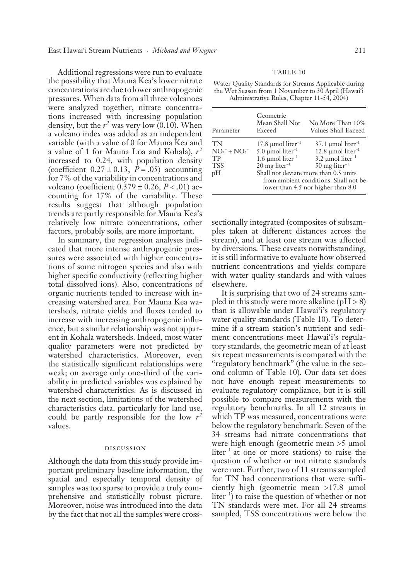Additional regressions were run to evaluate the possibility that Mauna Kea's lower nitrate concentrations are due to lower anthropogenic pressures. When data from all three volcanoes were analyzed together, nitrate concentrations increased with increasing population density, but the  $r^2$  was very low (0.10). When a volcano index was added as an independent variable (with a value of 0 for Mauna Kea and a value of 1 for Mauna Loa and Kohala), *r*<sup>2</sup> increased to 0.24, with population density (coefficient  $0.27 \pm 0.13$ ,  $P = .05$ ) accounting for 7% of the variability in concentrations and volcano (coefficient 0.379 ± 0.26, *P* < .01) accounting for 17% of the variability. These results suggest that although population trends are partly responsible for Mauna Kea's relatively low nitrate concentrations, other factors, probably soils, are more important.

In summary, the regression analyses indicated that more intense anthropogenic pressures were associated with higher concentrations of some nitrogen species and also with higher specific conductivity (reflecting higher total dissolved ions). Also, concentrations of organic nutrients tended to increase with increasing watershed area. For Mauna Kea watersheds, nitrate yields and fluxes tended to increase with increasing anthropogenic influence, but a similar relationship was not apparent in Kohala watersheds. Indeed, most water quality parameters were not predicted by watershed characteristics. Moreover, even the statistically significant relationships were weak; on average only one-third of the variability in predicted variables was explained by watershed characteristics. As is discussed in the next section, limitations of the watershed characteristics data, particularly for land use, could be partly responsible for the low  $r^2$ values.

#### discussion

Although the data from this study provide important preliminary baseline information, the spatial and especially temporal density of samples was too sparse to provide a truly comprehensive and statistically robust picture. Moreover, noise was introduced into the data by the fact that not all the samples were cross-

#### TABLE 10

Water Quality Standards for Streams Applicable during the Wet Season from 1 November to 30 April (Hawai'i Administrative Rules, Chapter 11-54, 2004)

| Parameter     | Geometric<br>Mean Shall Not<br>Exceed | No More Than 10%<br>Values Shall Exceed                                                                              |
|---------------|---------------------------------------|----------------------------------------------------------------------------------------------------------------------|
| TN            | 17.8 $\mu$ mol liter <sup>-1</sup>    | $37.1 \mu$ mol liter <sup>-1</sup>                                                                                   |
| $NO3- + NO2-$ | $5.0 \text{ \mu}$ liter <sup>-1</sup> | 12.8 $\mu$ mol liter <sup>-1</sup>                                                                                   |
| TP            | 1.6 $\mu$ mol liter <sup>-1</sup>     | $3.2 \mu$ mol liter <sup>-1</sup>                                                                                    |
| <b>TSS</b>    | $20$ mg liter <sup>-1</sup>           | $50$ mg liter <sup>-1</sup>                                                                                          |
| pH            |                                       | Shall not deviate more than 0.5 units<br>from ambient conditions. Shall not be<br>lower than 4.5 nor higher than 8.0 |

sectionally integrated (composites of subsamples taken at different distances across the stream), and at least one stream was affected by diversions. These caveats notwithstanding, it is still informative to evaluate how observed nutrient concentrations and yields compare with water quality standards and with values elsewhere.

It is surprising that two of 24 streams sampled in this study were more alkaline ( $pH > 8$ ) than is allowable under Hawai'i's regulatory water quality standards (Table 10). To determine if a stream station's nutrient and sediment concentrations meet Hawai'i's regulatory standards, the geometric mean of at least six repeat measurements is compared with the "regulatory benchmark" (the value in the second column of Table 10). Our data set does not have enough repeat measurements to evaluate regulatory compliance, but it is still possible to compare measurements with the regulatory benchmarks. In all 12 streams in which TP was measured, concentrations were below the regulatory benchmark. Seven of the 34 streams had nitrate concentrations that were high enough (geometric mean >5 μmol liter<sup>−</sup>1 at one or more stations) to raise the question of whether or not nitrate standards were met. Further, two of 11 streams sampled for TN had concentrations that were sufficiently high (geometric mean >17.8 μmol liter<sup>-1</sup>) to raise the question of whether or not TN standards were met. For all 24 streams sampled, TSS concentrations were below the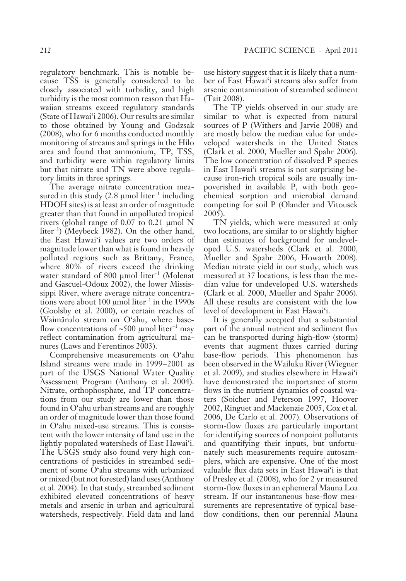regulatory benchmark. This is notable because TSS is generally considered to be closely associated with turbidity, and high turbidity is the most common reason that Hawaiian streams exceed regulatory standards  $(State of Hawaii'1 2006)$ . Our results are similar to those obtained by Young and Godzsak (2008), who for 6 months conducted monthly monitoring of streams and springs in the Hilo area and found that ammonium, TP, TSS, and turbidity were within regulatory limits but that nitrate and TN were above regulatory limits in three springs.

The average nitrate concentration measured in this study (2.8 μmol liter<sup>-1</sup> including HDOH sites) is at least an order of magnitude greater than that found in unpolluted tropical rivers (global range of 0.07 to 0.21 μmol N liter<sup>−</sup><sup>1</sup> ) (Meybeck 1982). On the other hand, the East Hawai'i values are two orders of magnitude lower than what is found in heavily polluted regions such as Brittany, France, where 80% of rivers exceed the drinking water standard of 800 μmol liter<sup>-1</sup> (Molenat and Gascuel-Odoux 2002), the lower Mississippi River, where average nitrate concentrations were about 100  $\mu$ mol liter<sup>-1</sup> in the 1990s (Goolsby et al. 2000), or certain reaches of Waimänalo stream on O'ahu, where baseflow concentrations of ~500 μmol liter<sup>-1</sup> may reflect contamination from agricultural manures (Laws and Ferentinos 2003).

Comprehensive measurements on O'ahu Island streams were made in 1999–2001 as part of the USGS National Water Quality Assessment Program (Anthony et al. 2004). Nitrate, orthophosphate, and TP concentrations from our study are lower than those found in O'ahu urban streams and are roughly an order of magnitude lower than those found in O'ahu mixed-use streams. This is consistent with the lower intensity of land use in the lightly populated watersheds of East Hawai'i. The USGS study also found very high concentrations of pesticides in streambed sediment of some O'ahu streams with urbanized or mixed (but not forested) land uses (Anthony et al. 2004). In that study, streambed sediment exhibited elevated concentrations of heavy metals and arsenic in urban and agricultural watersheds, respectively. Field data and land

use history suggest that it is likely that a number of East Hawai'i streams also suffer from arsenic contamination of streambed sediment (Tait 2008).

The TP yields observed in our study are similar to what is expected from natural sources of P (Withers and Jarvie 2008) and are mostly below the median value for undeveloped watersheds in the United States (Clark et al. 2000, Mueller and Spahr 2006). The low concentration of dissolved P species in East Hawai'i streams is not surprising because iron-rich tropical soils are usually impoverished in available P, with both geochemical sorption and microbial demand competing for soil P (Olander and Vitousek 2005).

TN yields, which were measured at only two locations, are similar to or slightly higher than estimates of background for undeveloped U.S. watersheds (Clark et al. 2000, Mueller and Spahr 2006, Howarth 2008). Median nitrate yield in our study, which was measured at 37 locations, is less than the median value for undeveloped U.S. watersheds (Clark et al. 2000, Mueller and Spahr 2006). All these results are consistent with the low level of development in East Hawai'i.

It is generally accepted that a substantial part of the annual nutrient and sediment flux can be transported during high-flow (storm) events that augment fluxes carried during base-flow periods. This phenomenon has been observed in the Wailuku River (Wiegner et al. 2009), and studies elsewhere in Hawai'i have demonstrated the importance of storm flows in the nutrient dynamics of coastal waters (Soicher and Peterson 1997, Hoover 2002, Ringuet and Mackenzie 2005, Cox et al. 2006, De Carlo et al. 2007). Observations of storm-flow fluxes are particularly important for identifying sources of nonpoint pollutants and quantifying their inputs, but unfortunately such measurements require autosamplers, which are expensive. One of the most valuable flux data sets in East Hawai'i is that of Presley et al. (2008), who for 2 yr measured storm-flow fluxes in an ephemeral Mauna Loa stream. If our instantaneous base-flow measurements are representative of typical baseflow conditions, then our perennial Mauna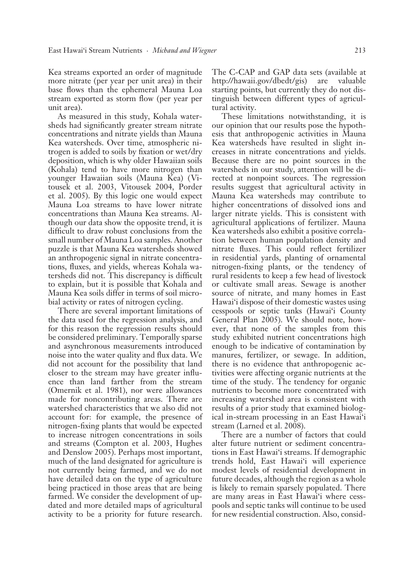Kea streams exported an order of magnitude more nitrate (per year per unit area) in their base flows than the ephemeral Mauna Loa stream exported as storm flow (per year per unit area).

As measured in this study, Kohala watersheds had significantly greater stream nitrate concentrations and nitrate yields than Mauna Kea watersheds. Over time, atmospheric nitrogen is added to soils by fixation or wet /dry deposition, which is why older Hawaiian soils (Kohala) tend to have more nitrogen than younger Hawaiian soils (Mauna Kea) ( Vitousek et al. 2003, Vitousek 2004, Porder et al. 2005). By this logic one would expect Mauna Loa streams to have lower nitrate concentrations than Mauna Kea streams. Although our data show the opposite trend, it is difficult to draw robust conclusions from the small number of Mauna Loa samples. Another puzzle is that Mauna Kea watersheds showed an anthropogenic signal in nitrate concentrations, fluxes, and yields, whereas Kohala watersheds did not. This discrepancy is difficult to explain, but it is possible that Kohala and Mauna Kea soils differ in terms of soil microbial activity or rates of nitrogen cycling.

There are several important limitations of the data used for the regression analysis, and for this reason the regression results should be considered preliminary. Temporally sparse and asynchronous measurements introduced noise into the water quality and flux data. We did not account for the possibility that land closer to the stream may have greater influence than land farther from the stream (Omernik et al. 1981), nor were allowances made for noncontributing areas. There are watershed characteristics that we also did not account for: for example, the presence of nitrogen-fixing plants that would be expected to increase nitrogen concentrations in soils and streams (Compton et al. 2003, Hughes and Denslow 2005). Perhaps most important, much of the land designated for agriculture is not currently being farmed, and we do not have detailed data on the type of agriculture being practiced in those areas that are being farmed. We consider the development of updated and more detailed maps of agricultural activity to be a priority for future research.

The C-CAP and GAP data sets (available at http://hawaii.gov/dbedt/gis) are valuable starting points, but currently they do not distinguish between different types of agricultural activity.

These limitations notwithstanding, it is our opinion that our results pose the hypothesis that anthropogenic activities in Mauna Kea watersheds have resulted in slight increases in nitrate concentrations and yields. Because there are no point sources in the watersheds in our study, attention will be directed at nonpoint sources. The regression results suggest that agricultural activity in Mauna Kea watersheds may contribute to higher concentrations of dissolved ions and larger nitrate yields. This is consistent with agricultural applications of fertilizer. Mauna Kea watersheds also exhibit a positive correlation between human population density and nitrate fluxes. This could reflect fertilizer in residential yards, planting of ornamental nitrogen-fixing plants, or the tendency of rural residents to keep a few head of livestock or cultivate small areas. Sewage is another source of nitrate, and many homes in East Hawai'i dispose of their domestic wastes using cesspools or septic tanks (Hawai'i County General Plan 2005). We should note, however, that none of the samples from this study exhibited nutrient concentrations high enough to be indicative of contamination by manures, fertilizer, or sewage. In addition, there is no evidence that anthropogenic activities were affecting organic nutrients at the time of the study. The tendency for organic nutrients to become more concentrated with increasing watershed area is consistent with results of a prior study that examined biological in-stream processing in an East Hawai'i stream (Larned et al. 2008).

There are a number of factors that could alter future nutrient or sediment concentrations in East Hawai'i streams. If demographic trends hold, East Hawai'i will experience modest levels of residential development in future decades, although the region as a whole is likely to remain sparsely populated. There are many areas in East Hawai'i where cesspools and septic tanks will continue to be used for new residential construction. Also, consid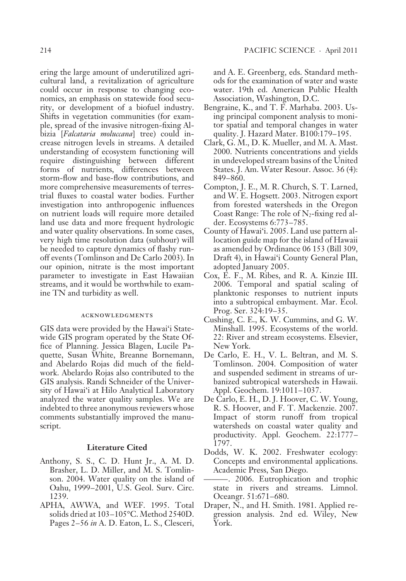ering the large amount of underutilized agricultural land, a revitalization of agriculture could occur in response to changing economics, an emphasis on statewide food security, or development of a biofuel industry. Shifts in vegetation communities (for example, spread of the invasive nitrogen-fixing Albizia [*Falcataria moluccana*] tree) could increase nitrogen levels in streams. A detailed understanding of ecosystem functioning will require distinguishing between different forms of nutrients, differences between storm-flow and base-flow contributions, and more comprehensive measurements of terrestrial fluxes to coastal water bodies. Further investigation into anthropogenic influences on nutrient loads will require more detailed land use data and more frequent hydrologic and water quality observations. In some cases, very high time resolution data (subhour) will be needed to capture dynamics of flashy runoff events (Tomlinson and De Carlo 2003). In our opinion, nitrate is the most important parameter to investigate in East Hawaiian streams, and it would be worthwhile to examine TN and turbidity as well.

#### acknowledgments

GIS data were provided by the Hawai'i Statewide GIS program operated by the State Office of Planning. Jessica Blagen, Lucile Paquette, Susan White, Breanne Bornemann, and Abelardo Rojas did much of the fieldwork. Abelardo Rojas also contributed to the GIS analysis. Randi Schneider of the University of Hawai'i at Hilo Analytical Laboratory analyzed the water quality samples. We are indebted to three anonymous reviewers whose comments substantially improved the manuscript.

#### **Literature Cited**

- Anthony, S. S., C. D. Hunt Jr., A. M. D. Brasher, L. D. Miller, and M. S. Tomlinson. 2004. Water quality on the island of Oahu, 1999-2001, U.S. Geol. Surv. Circ. 1239.
- APHA, AWWA, and WEF. 1995. Total solids dried at 103–105°C. Method 2540D. Pages 2 – 56 *in* A. D. Eaton, L. S., Clesceri,

and A. E. Greenberg, eds. Standard methods for the examination of water and waste water. 19th ed. American Public Health Association, Washington, D.C.

- Bengraine, K., and T. F. Marhaba. 2003. Using principal component analysis to monitor spatial and temporal changes in water quality. J. Hazard Mater. B100:179-195.
- Clark, G. M., D. K. Mueller, and M. A. Mast. 2000. Nutrients concentrations and yields in undeveloped stream basins of the United States. J. Am. Water Resour. Assoc. 36 (4): 849-860.
- Compton, J. E., M. R. Church, S. T. Larned, and W. E. Hogsett. 2003. Nitrogen export from forested watersheds in the Oregon Coast Range: The role of  $N_2$ -fixing red alder. Ecosystems 6:773 – 785.
- County of Hawai'i. 2005. Land use pattern allocation guide map for the island of Hawaii as amended by Ordinance 06 153 (Bill 309, Draft 4), in Hawai'i County General Plan, adopted January 2005.
- Cox, E. F., M. Ribes, and R. A. Kinzie III. 2006. Temporal and spatial scaling of planktonic responses to nutrient inputs into a subtropical embayment. Mar. Ecol. Prog. Ser. 324:19–35.
- Cushing, C. E., K. W. Cummins, and G. W. Minshall. 1995. Ecosystems of the world. 22: River and stream ecosystems. Elsevier, New York.
- De Carlo, E. H., V. L. Beltran, and M. S. Tomlinson. 2004. Composition of water and suspended sediment in streams of urbanized subtropical watersheds in Hawaii. Appl. Geochem. 19:1011–1037.
- De Carlo, E. H., D. J. Hoover, C. W. Young, R. S. Hoover, and F. T. Mackenzie. 2007. Impact of storm runoff from tropical watersheds on coastal water quality and productivity. Appl. Geochem. 22:1777 – 1797.
- Dodds, W. K. 2002. Freshwater ecology: Concepts and environmental applications. Academic Press, San Diego.
- ——— . 2006. Eutrophication and trophic state in rivers and streams. Limnol. Oceangr. 51:671–680.
- Draper, N., and H. Smith. 1981. Applied regression analysis. 2nd ed. Wiley, New York.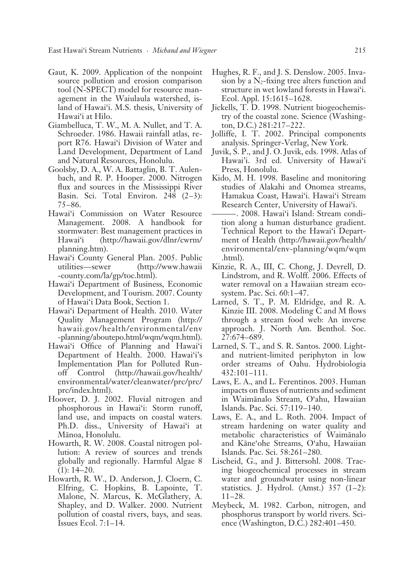East Hawai'i Stream Nutrients · *Michaud and Wiegner* 215

- Gaut, K. 2009. Application of the nonpoint source pollution and erosion comparison tool (N-SPECT) model for resource management in the Waiulaula watershed, island of Hawai'i. M.S. thesis, University of Hawai'i at Hilo.
- Giambelluca, T. W., M. A. Nullet, and T. A. Schroeder. 1986. Hawaii rainfall atlas, report R76. Hawai'i Division of Water and Land Development, Department of Land and Natural Resources, Honolulu.
- Goolsby, D. A., W. A. Battaglin, B. T. Aulenbach, and R. P. Hooper. 2000. Nitrogen flux and sources in the Mississippi River Basin. Sci. Total Environ. 248  $(2-3)$ : 75 – 86.
- Hawai'i Commission on Water Resource Management. 2008. A handbook for stormwater: Best management practices in Hawai'i (http://hawaii.gov/dlnr/cwrm/ planning.htm).
- Hawai'i County General Plan. 2005. Public utilities — sewer (http://www.hawaii - county.com/la/gp/toc.html).
- Hawai'i Department of Business, Economic Development, and Tourism. 2007. County of Hawai'i Data Book, Section 1.
- Hawai'i Department of Health. 2010. Water Quality Management Program (http:// hawaii.gov/health/environmental/env -planning/aboutepo.html/wqm/wqm.html).
- Hawai'i Office of Planning and Hawai'i Department of Health. 2000. Hawai'i's Implementation Plan for Polluted Runoff Control (http://hawaii.gov/health/ environmental/water/cleanwater/prc/prc/ prc/index.html).
- Hoover, D. J. 2002. Fluvial nitrogen and phosphorous in Hawai'i: Storm runoff, land use, and impacts on coastal waters. Ph.D. diss., University of Hawai'i at Mānoa, Honolulu.
- Howarth, R. W. 2008. Coastal nitrogen pollution: A review of sources and trends globally and regionally. Harmful Algae 8  $(1): 14 - 20.$
- Howarth, R. W., D. Anderson, J. Cloern, C. Elfring, C. Hopkins, B. Lapointe, T. Malone, N. Marcus, K. McGlathery, A. Shapley, and D. Walker. 2000. Nutrient pollution of coastal rivers, bays, and seas. Issues Ecol. 7:1 – 14.
- Hughes, R. F., and J. S. Denslow. 2005. Invasion by a  $N_2$ -fixing tree alters function and structure in wet lowland forests in Hawai'i. Ecol. Appl. 15:1615–1628.
- Jickells, T. D. 1998. Nutrient biogeochemistry of the coastal zone. Science ( Washington, D.C.) 281:217 – 222.
- Jolliffe, I. T. 2002. Principal components analysis. Springer-Verlag, New York.
- Juvik, S. P., and J. O. Juvik, eds. 1998. Atlas of Hawai'i. 3rd ed. University of Hawai'i Press, Honolulu.
- Kido, M. H. 1998. Baseline and monitoring studies of Alakahi and Onomea streams, Hamakua Coast, Hawai'i. Hawai'i Stream Research Center, University of Hawai'i.
- ——— . 2008. Hawai'i Island: Stream condition along a human disturbance gradient. Technical Report to the Hawai'i Department of Health (http://hawaii.gov/health/ environmental/env-planning/wqm/wqm .html).
- Kinzie, R. A., III, C. Chong, J. Devrell, D. Lindstrom, and R. Wolff. 2006. Effects of water removal on a Hawaiian stream ecosystem. Pac. Sci. 60:1-47.
- Larned, S. T., P. M. Eldridge, and R. A. Kinzie III. 2008. Modeling C and M flows through a stream food web: An inverse a pproach. J. North Am. Benthol. Soc. 27:674 – 689.
- Larned, S. T., and S. R. Santos. 2000. Lightand nutrient-limited periphyton in low o rder streams of Oahu. Hydrobiologia 432:101 – 111.
- Laws, E. A., and L. Ferentinos. 2003. Human impacts on fluxes of nutrients and sediment in Waimänalo Stream, O'ahu, Hawaiian Islands. Pac. Sci. 57:119 – 140.
- Laws, E. A., and L. Roth. 2004. Impact of stream hardening on water quality and metabolic characteristics of Waimänalo and Käne'ohe Streams, O'ahu, Hawaiian Islands. Pac. Sci. 58:261-280.
- Lischeid, G., and J. Bittersohl. 2008. Tracing biogeochemical processes in stream water and groundwater using non-linear statistics. J. Hydrol. (Amst.)  $357$  (1–2):  $11 - 28.$
- Meybeck, M. 1982. Carbon, nitrogen, and phosphorus transport by world rivers. Science (Washington, D.C.) 282:401–450.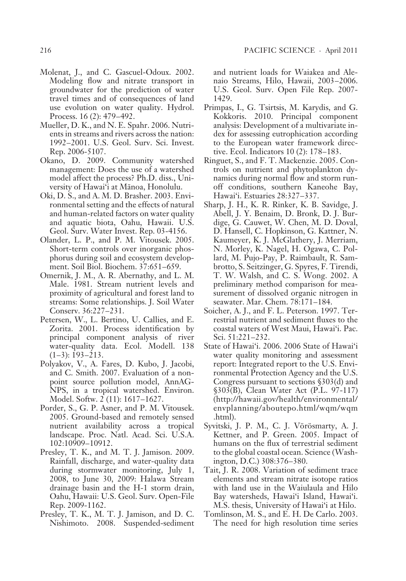- Molenat, J., and C. Gascuel-Odoux. 2002. Modeling flow and nitrate transport in groundwater for the prediction of water travel times and of consequences of land use evolution on water quality. Hydrol. Process. 16 (2): 479–492.
- Mueller, D. K., and N. E. Spahr. 2006. Nutrients in streams and rivers across the nation: 1992 – 2001. U.S. Geol. Surv. Sci. Invest. Rep. 2006-5107.
- Okano, D. 2009. Community watershed management: Does the use of a watershed model affect the process? Ph.D. diss., University of Hawai'i at Mänoa, Honolulu.
- Oki, D. S., and A. M. D. Brasher. 2003. Environmental setting and the effects of natural and human-related factors on water quality and aquatic biota, Oahu, Hawaii. U.S. Geol. Surv. Water Invest. Rep. 03-4156.
- Olander, L. P., and P. M. Vitousek. 2005. Short-term controls over inorganic phosphorus during soil and ecosystem development. Soil Biol. Biochem. 37:651–659.
- Omernik, J. M., A. R. Abernathy, and L. M. Male. 1981. Stream nutrient levels and proximity of agricultural and forest land to streams: Some relationships. J. Soil Water Conserv. 36:227–231.
- Petersen, W., L. Bertino, U. Callies, and E. Zorita. 2001. Process identification by principal component analysis of river water-quality data. Ecol. Modell. 138  $(1-3): 193-213.$
- Polyakov, V., A. Fares, D. Kubo, J. Jacobi, and C. Smith. 2007. Evaluation of a nonpoint source pollution model, AnnAG-NPS, in a tropical watershed. Environ. Model. Softw. 2 (11): 1617–1627.
- Porder, S., G. P. Asner, and P. M. Vitousek. 2005. Ground-based and remotely sensed nutrient availability across a tropical landscape. Proc. Natl. Acad. Sci. U.S.A. 102:10909 – 10912.
- Presley, T. K., and M. T. J. Jamison. 2009. Rainfall, discharge, and water-quality data during stormwater monitoring, July 1, 2008, to June 30, 2009: Halawa Stream drainage basin and the H-1 storm drain, Oahu, Hawaii: U.S. Geol. Surv. Open-File Rep. 2009-1162.
- Presley, T. K., M. T. J. Jamison, and D. C. Nishimoto. 2008. Suspended-sediment

and nutrient loads for Waiakea and Alenaio Streams, Hilo, Hawaii, 2003-2006. U.S. Geol. Surv. Open File Rep. 2007- 1429.

- Primpas, I., G. Tsirtsis, M. Karydis, and G. Kokkoris. 2010. Principal component analysis: Development of a multivariate index for assessing eutrophication according to the European water framework directive. Ecol. Indicators 10 (2): 178-183.
- Ringuet, S., and F. T. Mackenzie. 2005. Controls on nutrient and phytoplankton dynamics during normal flow and storm runoff conditions, southern Kaneohe Bay, Hawai'i. Estuaries 28:327–337.
- Sharp, J. H., K. R. Rinker, K. B. Savidge, J. Abell, J. Y. Benaim, D. Bronk, D. J. Burdige, G. Cauwet, W. Chen, M. D. Doval, D. Hansell, C. Hopkinson, G. Kattner, N. Kaumeyer, K. J. McGlathery, J. Merriam, N. Morley, K. Nagel, H. Ogawa, C. Pollard, M. Pujo-Pay, P. Raimbault, R. Sambrotto, S. Seitzinger, G. Spyres, F. Tirendi, T. W. Walsh, and C. S. Wong. 2002. A preliminary method comparison for measurement of dissolved organic nitrogen in seawater. Mar. Chem. 78:171-184.
- Soicher, A. J., and F. L. Peterson. 1997. Terrestrial nutrient and sediment fluxes to the coastal waters of West Maui, Hawai'i. Pac. Sci. 51:221-232.
- State of Hawai'i. 2006. 2006 State of Hawai'i water quality monitoring and assessment report: Integrated report to the U.S. Environmental Protection Agency and the U.S. Congress pursuant to sections §303(d) and §303(B), Clean Water Act (P.L. 97-117) (http://hawaii.gov/health/environmental/ envplanning/aboutepo.html/wqm/wqm .html).
- Syvitski, J. P. M., C. J. Vörösmarty, A. J. Kettner, and P. Green. 2005. Impact of humans on the flux of terrestrial sediment to the global coastal ocean. Science ( Washington, D.C.) 308:376–380.
- Tait, J. R. 2008. Variation of sediment trace elements and stream nitrate isotope ratios with land use in the Waiulaula and Hilo Bay watersheds, Hawai'i Island, Hawai'i. M.S. thesis, University of Hawai'i at Hilo.
- Tomlinson, M. S., and E. H. De Carlo. 2003. The need for high resolution time series